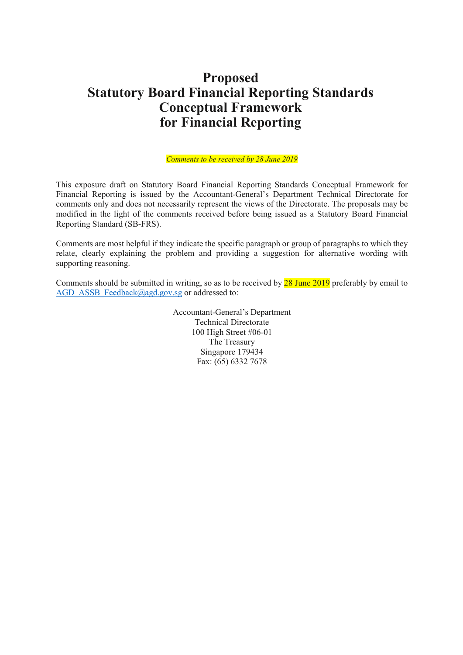# Proposed Statutory Board Financial Reporting Standards Conceptual Framework for Financial Reporting

#### Comments to be received by 28 June 2019

This exposure draft on Statutory Board Financial Reporting Standards Conceptual Framework for Financial Reporting is issued by the Accountant-General's Department Technical Directorate for comments only and does not necessarily represent the views of the Directorate. The proposals may be modified in the light of the comments received before being issued as a Statutory Board Financial Reporting Standard (SB-FRS).

Comments are most helpful if they indicate the specific paragraph or group of paragraphs to which they relate, clearly explaining the problem and providing a suggestion for alternative wording with supporting reasoning.

Comments should be submitted in writing, so as to be received by 28 June 2019 preferably by email to AGD\_ASSB\_Feedback@agd.gov.sg or addressed to:

> Accountant-General's Department Technical Directorate 100 High Street #06-01 The Treasury Singapore 179434 Fax: (65) 6332 7678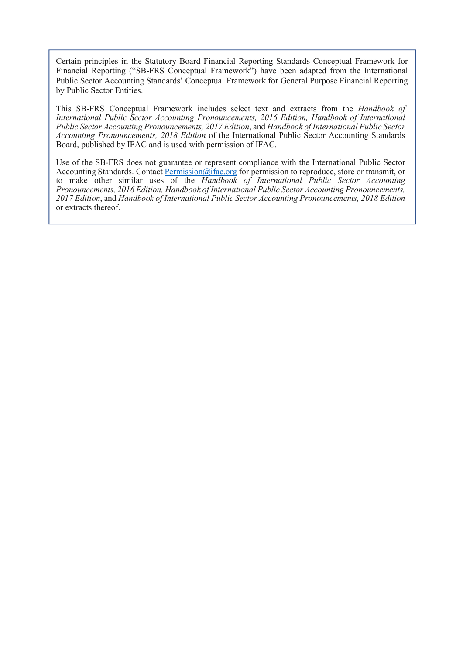Certain principles in the Statutory Board Financial Reporting Standards Conceptual Framework for Financial Reporting ("SB-FRS Conceptual Framework") have been adapted from the International Public Sector Accounting Standards' Conceptual Framework for General Purpose Financial Reporting by Public Sector Entities.

This SB-FRS Conceptual Framework includes select text and extracts from the Handbook of International Public Sector Accounting Pronouncements, 2016 Edition, Handbook of International Public Sector Accounting Pronouncements, 2017 Edition, and Handbook of International Public Sector Accounting Pronouncements, 2018 Edition of the International Public Sector Accounting Standards Board, published by IFAC and is used with permission of IFAC.

Use of the SB-FRS does not guarantee or represent compliance with the International Public Sector Accounting Standards. Contact Permission@ifac.org for permission to reproduce, store or transmit, or to make other similar uses of the Handbook of International Public Sector Accounting Pronouncements, 2016 Edition, Handbook of International Public Sector Accounting Pronouncements, 2017 Edition, and Handbook of International Public Sector Accounting Pronouncements, 2018 Edition or extracts thereof.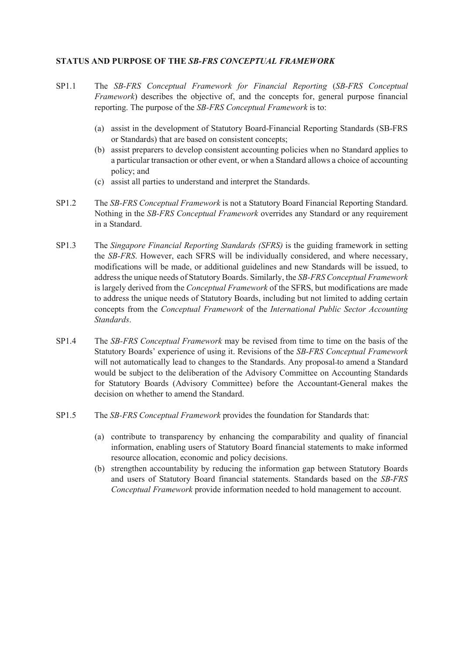## STATUS AND PURPOSE OF THE SB-FRS CONCEPTUAL FRAMEWORK

- SP1.1 The SB-FRS Conceptual Framework for Financial Reporting (SB-FRS Conceptual Framework) describes the objective of, and the concepts for, general purpose financial reporting. The purpose of the SB-FRS Conceptual Framework is to:
	- (a) assist in the development of Statutory Board-Financial Reporting Standards (SB-FRS or Standards) that are based on consistent concepts;
	- (b) assist preparers to develop consistent accounting policies when no Standard applies to a particular transaction or other event, or when a Standard allows a choice of accounting policy; and
	- (c) assist all parties to understand and interpret the Standards.
- SP1.2 The SB-FRS Conceptual Framework is not a Statutory Board Financial Reporting Standard. Nothing in the SB-FRS Conceptual Framework overrides any Standard or any requirement in a Standard.
- SP1.3 The Singapore Financial Reporting Standards (SFRS) is the guiding framework in setting the SB-FRS. However, each SFRS will be individually considered, and where necessary, modifications will be made, or additional guidelines and new Standards will be issued, to address the unique needs of Statutory Boards. Similarly, the SB-FRS Conceptual Framework is largely derived from the *Conceptual Framework* of the SFRS, but modifications are made to address the unique needs of Statutory Boards, including but not limited to adding certain concepts from the Conceptual Framework of the International Public Sector Accounting Standards.
- SP1.4 The SB-FRS Conceptual Framework may be revised from time to time on the basis of the Statutory Boards' experience of using it. Revisions of the SB-FRS Conceptual Framework will not automatically lead to changes to the Standards. Any proposal to amend a Standard would be subject to the deliberation of the Advisory Committee on Accounting Standards for Statutory Boards (Advisory Committee) before the Accountant-General makes the decision on whether to amend the Standard.
- SP1.5 The SB-FRS Conceptual Framework provides the foundation for Standards that:
	- (a) contribute to transparency by enhancing the comparability and quality of financial information, enabling users of Statutory Board financial statements to make informed resource allocation, economic and policy decisions.
	- (b) strengthen accountability by reducing the information gap between Statutory Boards and users of Statutory Board financial statements. Standards based on the SB-FRS Conceptual Framework provide information needed to hold management to account.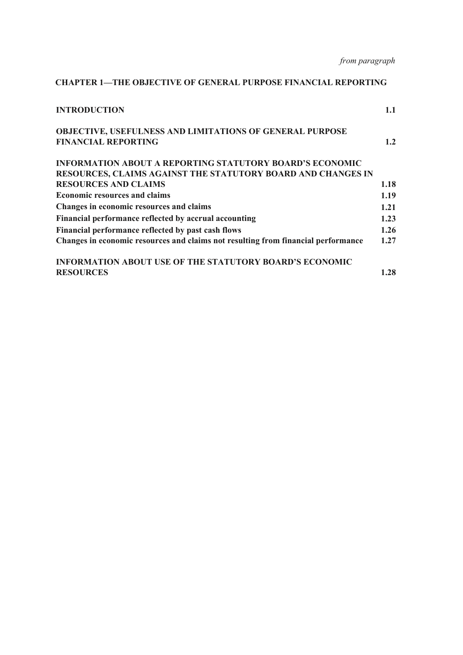# CHAPTER 1—THE OBJECTIVE OF GENERAL PURPOSE FINANCIAL REPORTING

| <b>INTRODUCTION</b>                                                               | 1.1  |
|-----------------------------------------------------------------------------------|------|
| <b>OBJECTIVE, USEFULNESS AND LIMITATIONS OF GENERAL PURPOSE</b>                   |      |
| <b>FINANCIAL REPORTING</b>                                                        | 1.2  |
| <b>INFORMATION ABOUT A REPORTING STATUTORY BOARD'S ECONOMIC</b>                   |      |
| RESOURCES, CLAIMS AGAINST THE STATUTORY BOARD AND CHANGES IN                      |      |
| <b>RESOURCES AND CLAIMS</b>                                                       | 1.18 |
| <b>Economic resources and claims</b>                                              | 1.19 |
| Changes in economic resources and claims                                          | 1.21 |
| Financial performance reflected by accrual accounting                             | 1.23 |
| Financial performance reflected by past cash flows                                | 1.26 |
| Changes in economic resources and claims not resulting from financial performance | 1.27 |
| <b>INFORMATION ABOUT USE OF THE STATUTORY BOARD'S ECONOMIC</b>                    |      |
| <b>RESOURCES</b>                                                                  | 1.28 |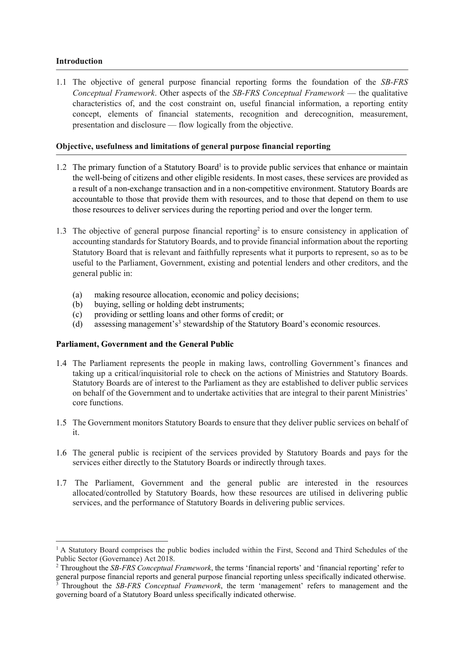## Introduction

-

1.1 The objective of general purpose financial reporting forms the foundation of the SB-FRS Conceptual Framework. Other aspects of the SB-FRS Conceptual Framework — the qualitative characteristics of, and the cost constraint on, useful financial information, a reporting entity concept, elements of financial statements, recognition and derecognition, measurement, presentation and disclosure — flow logically from the objective.

## Objective, usefulness and limitations of general purpose financial reporting

- 1.2 The primary function of a Statutory Board<sup>1</sup> is to provide public services that enhance or maintain the well-being of citizens and other eligible residents. In most cases, these services are provided as a result of a non-exchange transaction and in a non-competitive environment. Statutory Boards are accountable to those that provide them with resources, and to those that depend on them to use those resources to deliver services during the reporting period and over the longer term.
- 1.3 The objective of general purpose financial reporting<sup>2</sup> is to ensure consistency in application of accounting standards for Statutory Boards, and to provide financial information about the reporting Statutory Board that is relevant and faithfully represents what it purports to represent, so as to be useful to the Parliament, Government, existing and potential lenders and other creditors, and the general public in:
	- (a) making resource allocation, economic and policy decisions;
	- (b) buying, selling or holding debt instruments;
	- (c) providing or settling loans and other forms of credit; or
	- (d) assessing management's<sup>3</sup> stewardship of the Statutory Board's economic resources.

## Parliament, Government and the General Public

- 1.4 The Parliament represents the people in making laws, controlling Government's finances and taking up a critical/inquisitorial role to check on the actions of Ministries and Statutory Boards. Statutory Boards are of interest to the Parliament as they are established to deliver public services on behalf of the Government and to undertake activities that are integral to their parent Ministries' core functions.
- 1.5 The Government monitors Statutory Boards to ensure that they deliver public services on behalf of it.
- 1.6 The general public is recipient of the services provided by Statutory Boards and pays for the services either directly to the Statutory Boards or indirectly through taxes.
- 1.7 The Parliament, Government and the general public are interested in the resources allocated/controlled by Statutory Boards, how these resources are utilised in delivering public services, and the performance of Statutory Boards in delivering public services.

<sup>&</sup>lt;sup>1</sup> A Statutory Board comprises the public bodies included within the First, Second and Third Schedules of the Public Sector (Governance) Act 2018.

<sup>&</sup>lt;sup>2</sup> Throughout the *SB-FRS Conceptual Framework*, the terms 'financial reports' and 'financial reporting' refer to general purpose financial reports and general purpose financial reporting unless specifically indicated otherwise.

<sup>3</sup> Throughout the SB-FRS Conceptual Framework, the term 'management' refers to management and the governing board of a Statutory Board unless specifically indicated otherwise.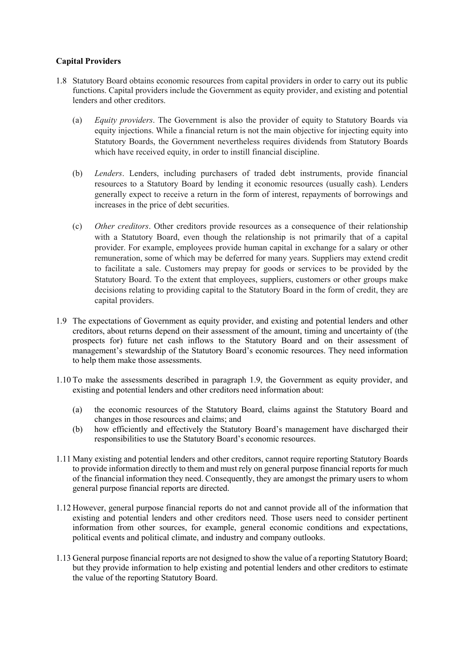# Capital Providers

- 1.8 Statutory Board obtains economic resources from capital providers in order to carry out its public functions. Capital providers include the Government as equity provider, and existing and potential lenders and other creditors.
	- (a) Equity providers. The Government is also the provider of equity to Statutory Boards via equity injections. While a financial return is not the main objective for injecting equity into Statutory Boards, the Government nevertheless requires dividends from Statutory Boards which have received equity, in order to instill financial discipline.
	- (b) Lenders. Lenders, including purchasers of traded debt instruments, provide financial resources to a Statutory Board by lending it economic resources (usually cash). Lenders generally expect to receive a return in the form of interest, repayments of borrowings and increases in the price of debt securities.
	- (c) Other creditors. Other creditors provide resources as a consequence of their relationship with a Statutory Board, even though the relationship is not primarily that of a capital provider. For example, employees provide human capital in exchange for a salary or other remuneration, some of which may be deferred for many years. Suppliers may extend credit to facilitate a sale. Customers may prepay for goods or services to be provided by the Statutory Board. To the extent that employees, suppliers, customers or other groups make decisions relating to providing capital to the Statutory Board in the form of credit, they are capital providers.
- 1.9 The expectations of Government as equity provider, and existing and potential lenders and other creditors, about returns depend on their assessment of the amount, timing and uncertainty of (the prospects for) future net cash inflows to the Statutory Board and on their assessment of management's stewardship of the Statutory Board's economic resources. They need information to help them make those assessments.
- 1.10 To make the assessments described in paragraph 1.9, the Government as equity provider, and existing and potential lenders and other creditors need information about:
	- (a) the economic resources of the Statutory Board, claims against the Statutory Board and changes in those resources and claims; and
	- (b) how efficiently and effectively the Statutory Board's management have discharged their responsibilities to use the Statutory Board's economic resources.
- 1.11 Many existing and potential lenders and other creditors, cannot require reporting Statutory Boards to provide information directly to them and must rely on general purpose financial reports for much of the financial information they need. Consequently, they are amongst the primary users to whom general purpose financial reports are directed.
- 1.12 However, general purpose financial reports do not and cannot provide all of the information that existing and potential lenders and other creditors need. Those users need to consider pertinent information from other sources, for example, general economic conditions and expectations, political events and political climate, and industry and company outlooks.
- 1.13 General purpose financial reports are not designed to show the value of a reporting Statutory Board; but they provide information to help existing and potential lenders and other creditors to estimate the value of the reporting Statutory Board.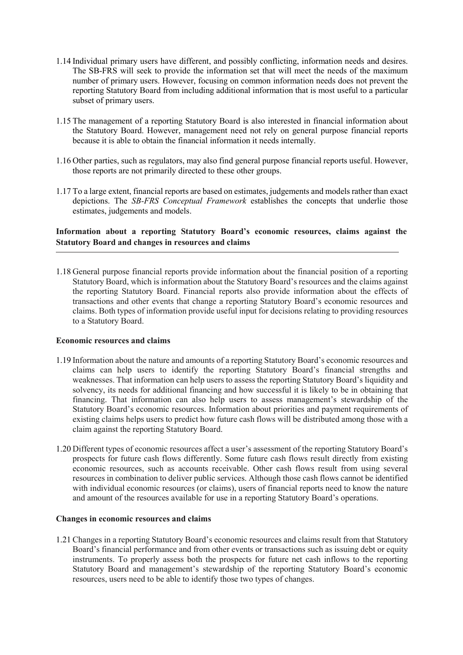- 1.14 Individual primary users have different, and possibly conflicting, information needs and desires. The SB-FRS will seek to provide the information set that will meet the needs of the maximum number of primary users. However, focusing on common information needs does not prevent the reporting Statutory Board from including additional information that is most useful to a particular subset of primary users.
- 1.15 The management of a reporting Statutory Board is also interested in financial information about the Statutory Board. However, management need not rely on general purpose financial reports because it is able to obtain the financial information it needs internally.
- 1.16 Other parties, such as regulators, may also find general purpose financial reports useful. However, those reports are not primarily directed to these other groups.
- 1.17 To a large extent, financial reports are based on estimates, judgements and models rather than exact depictions. The *SB-FRS Conceptual Framework* establishes the concepts that underlie those estimates, judgements and models.

Information about a reporting Statutory Board's economic resources, claims against the Statutory Board and changes in resources and claims

1.18 General purpose financial reports provide information about the financial position of a reporting Statutory Board, which is information about the Statutory Board's resources and the claims against the reporting Statutory Board. Financial reports also provide information about the effects of transactions and other events that change a reporting Statutory Board's economic resources and claims. Both types of information provide useful input for decisions relating to providing resources to a Statutory Board.

## Economic resources and claims

- 1.19 Information about the nature and amounts of a reporting Statutory Board's economic resources and claims can help users to identify the reporting Statutory Board's financial strengths and weaknesses. That information can help users to assess the reporting Statutory Board's liquidity and solvency, its needs for additional financing and how successful it is likely to be in obtaining that financing. That information can also help users to assess management's stewardship of the Statutory Board's economic resources. Information about priorities and payment requirements of existing claims helps users to predict how future cash flows will be distributed among those with a claim against the reporting Statutory Board.
- 1.20 Different types of economic resources affect a user's assessment of the reporting Statutory Board's prospects for future cash flows differently. Some future cash flows result directly from existing economic resources, such as accounts receivable. Other cash flows result from using several resources in combination to deliver public services. Although those cash flows cannot be identified with individual economic resources (or claims), users of financial reports need to know the nature and amount of the resources available for use in a reporting Statutory Board's operations.

#### Changes in economic resources and claims

1.21 Changes in a reporting Statutory Board's economic resources and claims result from that Statutory Board's financial performance and from other events or transactions such as issuing debt or equity instruments. To properly assess both the prospects for future net cash inflows to the reporting Statutory Board and management's stewardship of the reporting Statutory Board's economic resources, users need to be able to identify those two types of changes.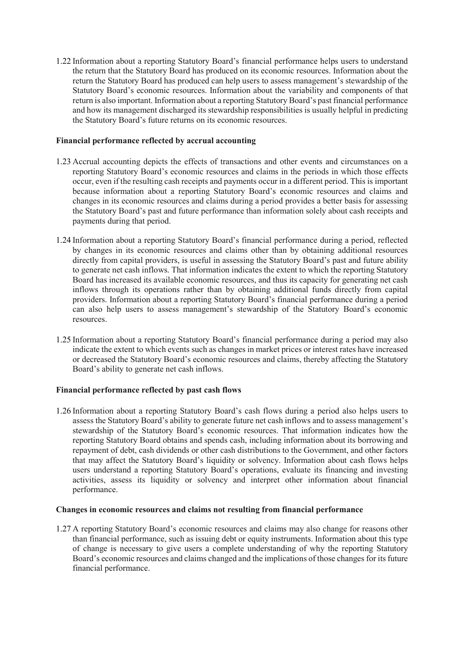1.22 Information about a reporting Statutory Board's financial performance helps users to understand the return that the Statutory Board has produced on its economic resources. Information about the return the Statutory Board has produced can help users to assess management's stewardship of the Statutory Board's economic resources. Information about the variability and components of that return is also important. Information about a reporting Statutory Board's past financial performance and how its management discharged its stewardship responsibilities is usually helpful in predicting the Statutory Board's future returns on its economic resources.

## Financial performance reflected by accrual accounting

- 1.23 Accrual accounting depicts the effects of transactions and other events and circumstances on a reporting Statutory Board's economic resources and claims in the periods in which those effects occur, even if the resulting cash receipts and payments occur in a different period. This is important because information about a reporting Statutory Board's economic resources and claims and changes in its economic resources and claims during a period provides a better basis for assessing the Statutory Board's past and future performance than information solely about cash receipts and payments during that period.
- 1.24 Information about a reporting Statutory Board's financial performance during a period, reflected by changes in its economic resources and claims other than by obtaining additional resources directly from capital providers, is useful in assessing the Statutory Board's past and future ability to generate net cash inflows. That information indicates the extent to which the reporting Statutory Board has increased its available economic resources, and thus its capacity for generating net cash inflows through its operations rather than by obtaining additional funds directly from capital providers. Information about a reporting Statutory Board's financial performance during a period can also help users to assess management's stewardship of the Statutory Board's economic resources.
- 1.25 Information about a reporting Statutory Board's financial performance during a period may also indicate the extent to which events such as changes in market prices or interest rates have increased or decreased the Statutory Board's economic resources and claims, thereby affecting the Statutory Board's ability to generate net cash inflows.

# Financial performance reflected by past cash flows

1.26 Information about a reporting Statutory Board's cash flows during a period also helps users to assess the Statutory Board's ability to generate future net cash inflows and to assess management's stewardship of the Statutory Board's economic resources. That information indicates how the reporting Statutory Board obtains and spends cash, including information about its borrowing and repayment of debt, cash dividends or other cash distributions to the Government, and other factors that may affect the Statutory Board's liquidity or solvency. Information about cash flows helps users understand a reporting Statutory Board's operations, evaluate its financing and investing activities, assess its liquidity or solvency and interpret other information about financial performance.

# Changes in economic resources and claims not resulting from financial performance

1.27 A reporting Statutory Board's economic resources and claims may also change for reasons other than financial performance, such as issuing debt or equity instruments. Information about this type of change is necessary to give users a complete understanding of why the reporting Statutory Board's economic resources and claims changed and the implications of those changes for its future financial performance.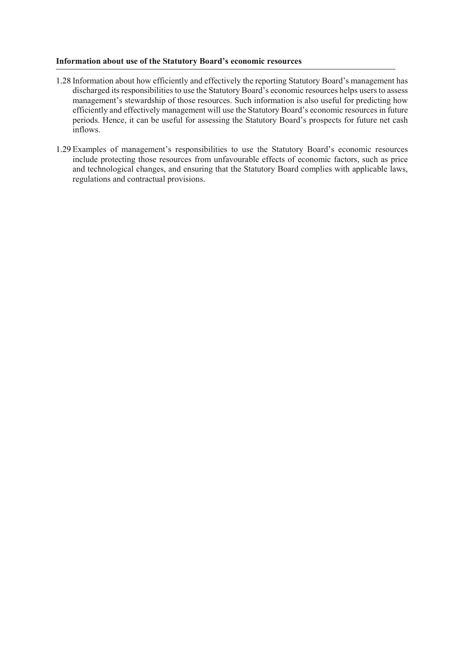## Information about use of the Statutory Board's economic resources

- 1.28 Information about how efficiently and effectively the reporting Statutory Board's management has discharged its responsibilities to use the Statutory Board's economic resources helps users to assess management's stewardship of those resources. Such information is also useful for predicting how efficiently and effectively management will use the Statutory Board's economic resources in future periods. Hence, it can be useful for assessing the Statutory Board's prospects for future net cash inflows.
- 1.29 Examples of management's responsibilities to use the Statutory Board's economic resources include protecting those resources from unfavourable effects of economic factors, such as price and technological changes, and ensuring that the Statutory Board complies with applicable laws, regulations and contractual provisions.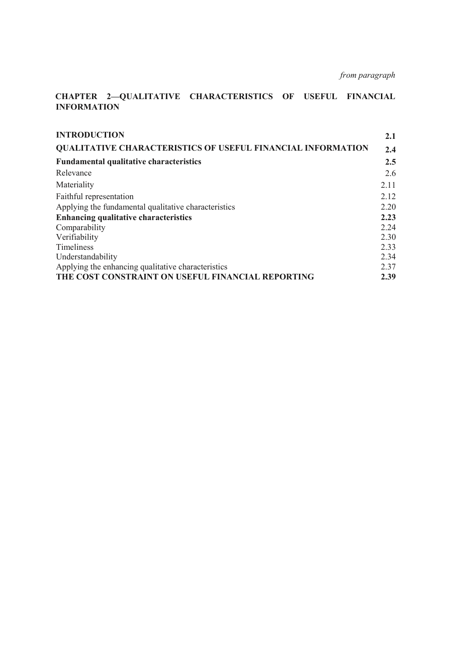# CHAPTER 2—QUALITATIVE CHARACTERISTICS OF USEFUL FINANCIAL INFORMATION

| <b>INTRODUCTION</b>                                                | 2.1  |
|--------------------------------------------------------------------|------|
| <b>QUALITATIVE CHARACTERISTICS OF USEFUL FINANCIAL INFORMATION</b> | 2.4  |
| <b>Fundamental qualitative characteristics</b>                     | 2.5  |
| Relevance                                                          | 2.6  |
| Materiality                                                        | 2.11 |
| Faithful representation                                            | 2.12 |
| Applying the fundamental qualitative characteristics               | 2.20 |
| <b>Enhancing qualitative characteristics</b>                       | 2.23 |
| Comparability                                                      | 2.24 |
| Verifiability                                                      | 2.30 |
| <b>Timeliness</b>                                                  | 2.33 |
| Understandability                                                  | 2.34 |
| Applying the enhancing qualitative characteristics                 | 2.37 |
| THE COST CONSTRAINT ON USEFUL FINANCIAL REPORTING                  | 2.39 |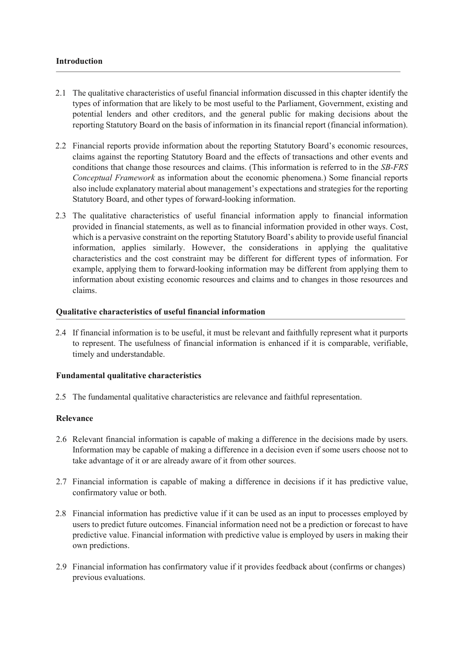## Introduction

- 2.1 The qualitative characteristics of useful financial information discussed in this chapter identify the types of information that are likely to be most useful to the Parliament, Government, existing and potential lenders and other creditors, and the general public for making decisions about the reporting Statutory Board on the basis of information in its financial report (financial information).
- 2.2 Financial reports provide information about the reporting Statutory Board's economic resources, claims against the reporting Statutory Board and the effects of transactions and other events and conditions that change those resources and claims. (This information is referred to in the SB-FRS Conceptual Framework as information about the economic phenomena.) Some financial reports also include explanatory material about management's expectations and strategies for the reporting Statutory Board, and other types of forward-looking information.
- 2.3 The qualitative characteristics of useful financial information apply to financial information provided in financial statements, as well as to financial information provided in other ways. Cost, which is a pervasive constraint on the reporting Statutory Board's ability to provide useful financial information, applies similarly. However, the considerations in applying the qualitative characteristics and the cost constraint may be different for different types of information. For example, applying them to forward-looking information may be different from applying them to information about existing economic resources and claims and to changes in those resources and claims.

## Qualitative characteristics of useful financial information

2.4 If financial information is to be useful, it must be relevant and faithfully represent what it purports to represent. The usefulness of financial information is enhanced if it is comparable, verifiable, timely and understandable.

# Fundamental qualitative characteristics

2.5 The fundamental qualitative characteristics are relevance and faithful representation.

## Relevance

- 2.6 Relevant financial information is capable of making a difference in the decisions made by users. Information may be capable of making a difference in a decision even if some users choose not to take advantage of it or are already aware of it from other sources.
- 2.7 Financial information is capable of making a difference in decisions if it has predictive value, confirmatory value or both.
- 2.8 Financial information has predictive value if it can be used as an input to processes employed by users to predict future outcomes. Financial information need not be a prediction or forecast to have predictive value. Financial information with predictive value is employed by users in making their own predictions.
- 2.9 Financial information has confirmatory value if it provides feedback about (confirms or changes) previous evaluations.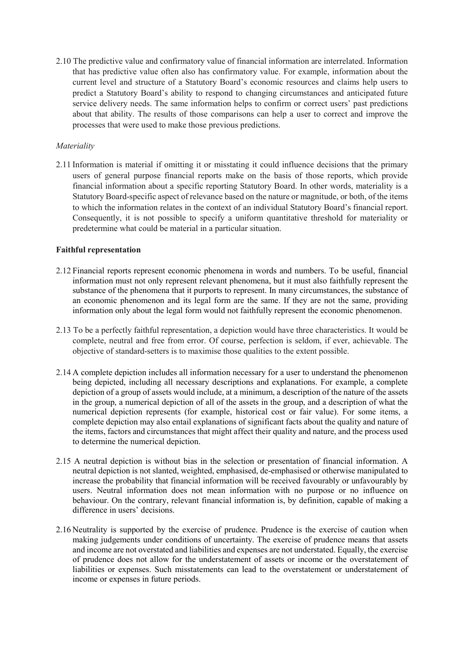2.10 The predictive value and confirmatory value of financial information are interrelated. Information that has predictive value often also has confirmatory value. For example, information about the current level and structure of a Statutory Board's economic resources and claims help users to predict a Statutory Board's ability to respond to changing circumstances and anticipated future service delivery needs. The same information helps to confirm or correct users' past predictions about that ability. The results of those comparisons can help a user to correct and improve the processes that were used to make those previous predictions.

# **Materiality**

2.11 Information is material if omitting it or misstating it could influence decisions that the primary users of general purpose financial reports make on the basis of those reports, which provide financial information about a specific reporting Statutory Board. In other words, materiality is a Statutory Board-specific aspect of relevance based on the nature or magnitude, or both, of the items to which the information relates in the context of an individual Statutory Board's financial report. Consequently, it is not possible to specify a uniform quantitative threshold for materiality or predetermine what could be material in a particular situation.

## Faithful representation

- 2.12 Financial reports represent economic phenomena in words and numbers. To be useful, financial information must not only represent relevant phenomena, but it must also faithfully represent the substance of the phenomena that it purports to represent. In many circumstances, the substance of an economic phenomenon and its legal form are the same. If they are not the same, providing information only about the legal form would not faithfully represent the economic phenomenon.
- 2.13 To be a perfectly faithful representation, a depiction would have three characteristics. It would be complete, neutral and free from error. Of course, perfection is seldom, if ever, achievable. The objective of standard-setters is to maximise those qualities to the extent possible.
- 2.14 A complete depiction includes all information necessary for a user to understand the phenomenon being depicted, including all necessary descriptions and explanations. For example, a complete depiction of a group of assets would include, at a minimum, a description of the nature of the assets in the group, a numerical depiction of all of the assets in the group, and a description of what the numerical depiction represents (for example, historical cost or fair value). For some items, a complete depiction may also entail explanations of significant facts about the quality and nature of the items, factors and circumstances that might affect their quality and nature, and the process used to determine the numerical depiction.
- 2.15 A neutral depiction is without bias in the selection or presentation of financial information. A neutral depiction is not slanted, weighted, emphasised, de-emphasised or otherwise manipulated to increase the probability that financial information will be received favourably or unfavourably by users. Neutral information does not mean information with no purpose or no influence on behaviour. On the contrary, relevant financial information is, by definition, capable of making a difference in users' decisions.
- 2.16 Neutrality is supported by the exercise of prudence. Prudence is the exercise of caution when making judgements under conditions of uncertainty. The exercise of prudence means that assets and income are not overstated and liabilities and expenses are not understated. Equally, the exercise of prudence does not allow for the understatement of assets or income or the overstatement of liabilities or expenses. Such misstatements can lead to the overstatement or understatement of income or expenses in future periods.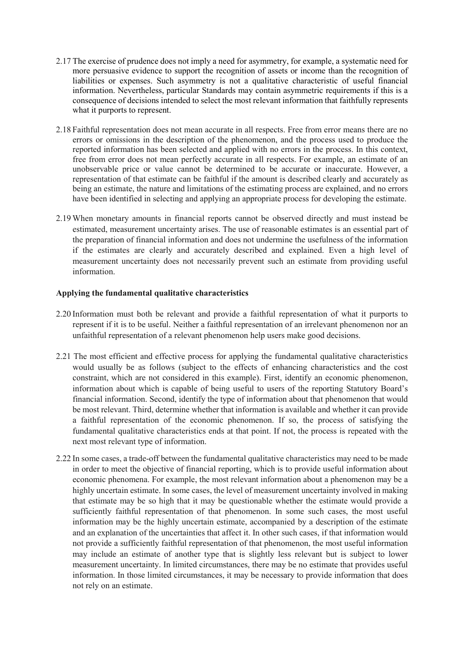- 2.17 The exercise of prudence does not imply a need for asymmetry, for example, a systematic need for more persuasive evidence to support the recognition of assets or income than the recognition of liabilities or expenses. Such asymmetry is not a qualitative characteristic of useful financial information. Nevertheless, particular Standards may contain asymmetric requirements if this is a consequence of decisions intended to select the most relevant information that faithfully represents what it purports to represent.
- 2.18 Faithful representation does not mean accurate in all respects. Free from error means there are no errors or omissions in the description of the phenomenon, and the process used to produce the reported information has been selected and applied with no errors in the process. In this context, free from error does not mean perfectly accurate in all respects. For example, an estimate of an unobservable price or value cannot be determined to be accurate or inaccurate. However, a representation of that estimate can be faithful if the amount is described clearly and accurately as being an estimate, the nature and limitations of the estimating process are explained, and no errors have been identified in selecting and applying an appropriate process for developing the estimate.
- 2.19 When monetary amounts in financial reports cannot be observed directly and must instead be estimated, measurement uncertainty arises. The use of reasonable estimates is an essential part of the preparation of financial information and does not undermine the usefulness of the information if the estimates are clearly and accurately described and explained. Even a high level of measurement uncertainty does not necessarily prevent such an estimate from providing useful information.

## Applying the fundamental qualitative characteristics

- 2.20 Information must both be relevant and provide a faithful representation of what it purports to represent if it is to be useful. Neither a faithful representation of an irrelevant phenomenon nor an unfaithful representation of a relevant phenomenon help users make good decisions.
- 2.21 The most efficient and effective process for applying the fundamental qualitative characteristics would usually be as follows (subject to the effects of enhancing characteristics and the cost constraint, which are not considered in this example). First, identify an economic phenomenon, information about which is capable of being useful to users of the reporting Statutory Board's financial information. Second, identify the type of information about that phenomenon that would be most relevant. Third, determine whether that information is available and whether it can provide a faithful representation of the economic phenomenon. If so, the process of satisfying the fundamental qualitative characteristics ends at that point. If not, the process is repeated with the next most relevant type of information.
- 2.22 In some cases, a trade-off between the fundamental qualitative characteristics may need to be made in order to meet the objective of financial reporting, which is to provide useful information about economic phenomena. For example, the most relevant information about a phenomenon may be a highly uncertain estimate. In some cases, the level of measurement uncertainty involved in making that estimate may be so high that it may be questionable whether the estimate would provide a sufficiently faithful representation of that phenomenon. In some such cases, the most useful information may be the highly uncertain estimate, accompanied by a description of the estimate and an explanation of the uncertainties that affect it. In other such cases, if that information would not provide a sufficiently faithful representation of that phenomenon, the most useful information may include an estimate of another type that is slightly less relevant but is subject to lower measurement uncertainty. In limited circumstances, there may be no estimate that provides useful information. In those limited circumstances, it may be necessary to provide information that does not rely on an estimate.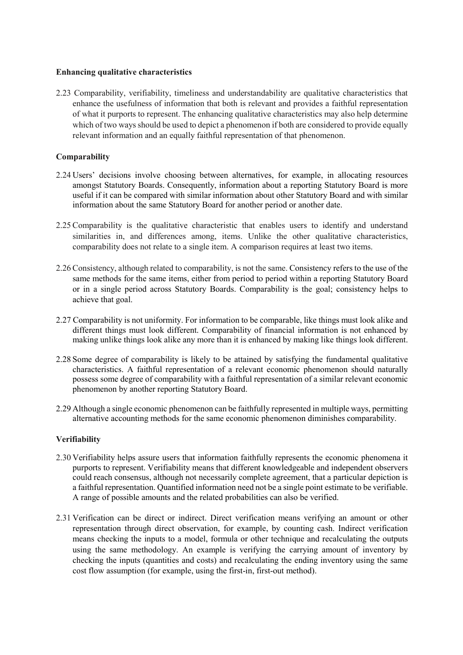## Enhancing qualitative characteristics

2.23 Comparability, verifiability, timeliness and understandability are qualitative characteristics that enhance the usefulness of information that both is relevant and provides a faithful representation of what it purports to represent. The enhancing qualitative characteristics may also help determine which of two ways should be used to depict a phenomenon if both are considered to provide equally relevant information and an equally faithful representation of that phenomenon.

# Comparability

- 2.24 Users' decisions involve choosing between alternatives, for example, in allocating resources amongst Statutory Boards. Consequently, information about a reporting Statutory Board is more useful if it can be compared with similar information about other Statutory Board and with similar information about the same Statutory Board for another period or another date.
- 2.25 Comparability is the qualitative characteristic that enables users to identify and understand similarities in, and differences among, items. Unlike the other qualitative characteristics, comparability does not relate to a single item. A comparison requires at least two items.
- 2.26 Consistency, although related to comparability, is not the same. Consistency refers to the use of the same methods for the same items, either from period to period within a reporting Statutory Board or in a single period across Statutory Boards. Comparability is the goal; consistency helps to achieve that goal.
- 2.27 Comparability is not uniformity. For information to be comparable, like things must look alike and different things must look different. Comparability of financial information is not enhanced by making unlike things look alike any more than it is enhanced by making like things look different.
- 2.28 Some degree of comparability is likely to be attained by satisfying the fundamental qualitative characteristics. A faithful representation of a relevant economic phenomenon should naturally possess some degree of comparability with a faithful representation of a similar relevant economic phenomenon by another reporting Statutory Board.
- 2.29 Although a single economic phenomenon can be faithfully represented in multiple ways, permitting alternative accounting methods for the same economic phenomenon diminishes comparability.

## Verifiability

- 2.30 Verifiability helps assure users that information faithfully represents the economic phenomena it purports to represent. Verifiability means that different knowledgeable and independent observers could reach consensus, although not necessarily complete agreement, that a particular depiction is a faithful representation. Quantified information need not be a single point estimate to be verifiable. A range of possible amounts and the related probabilities can also be verified.
- 2.31 Verification can be direct or indirect. Direct verification means verifying an amount or other representation through direct observation, for example, by counting cash. Indirect verification means checking the inputs to a model, formula or other technique and recalculating the outputs using the same methodology. An example is verifying the carrying amount of inventory by checking the inputs (quantities and costs) and recalculating the ending inventory using the same cost flow assumption (for example, using the first-in, first-out method).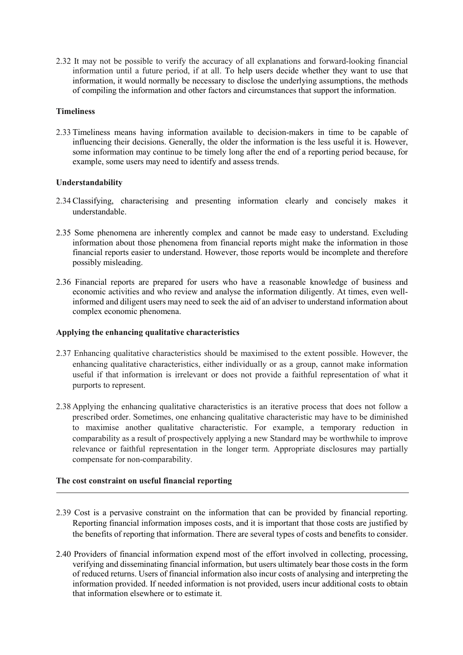2.32 It may not be possible to verify the accuracy of all explanations and forward-looking financial information until a future period, if at all. To help users decide whether they want to use that information, it would normally be necessary to disclose the underlying assumptions, the methods of compiling the information and other factors and circumstances that support the information.

## **Timeliness**

2.33 Timeliness means having information available to decision-makers in time to be capable of influencing their decisions. Generally, the older the information is the less useful it is. However, some information may continue to be timely long after the end of a reporting period because, for example, some users may need to identify and assess trends.

## Understandability

- 2.34 Classifying, characterising and presenting information clearly and concisely makes it understandable.
- 2.35 Some phenomena are inherently complex and cannot be made easy to understand. Excluding information about those phenomena from financial reports might make the information in those financial reports easier to understand. However, those reports would be incomplete and therefore possibly misleading.
- 2.36 Financial reports are prepared for users who have a reasonable knowledge of business and economic activities and who review and analyse the information diligently. At times, even wellinformed and diligent users may need to seek the aid of an adviser to understand information about complex economic phenomena.

## Applying the enhancing qualitative characteristics

- 2.37 Enhancing qualitative characteristics should be maximised to the extent possible. However, the enhancing qualitative characteristics, either individually or as a group, cannot make information useful if that information is irrelevant or does not provide a faithful representation of what it purports to represent.
- 2.38 Applying the enhancing qualitative characteristics is an iterative process that does not follow a prescribed order. Sometimes, one enhancing qualitative characteristic may have to be diminished to maximise another qualitative characteristic. For example, a temporary reduction in comparability as a result of prospectively applying a new Standard may be worthwhile to improve relevance or faithful representation in the longer term. Appropriate disclosures may partially compensate for non-comparability.

## The cost constraint on useful financial reporting

- 2.39 Cost is a pervasive constraint on the information that can be provided by financial reporting. Reporting financial information imposes costs, and it is important that those costs are justified by the benefits of reporting that information. There are several types of costs and benefits to consider.
- 2.40 Providers of financial information expend most of the effort involved in collecting, processing, verifying and disseminating financial information, but users ultimately bear those costs in the form of reduced returns. Users of financial information also incur costs of analysing and interpreting the information provided. If needed information is not provided, users incur additional costs to obtain that information elsewhere or to estimate it.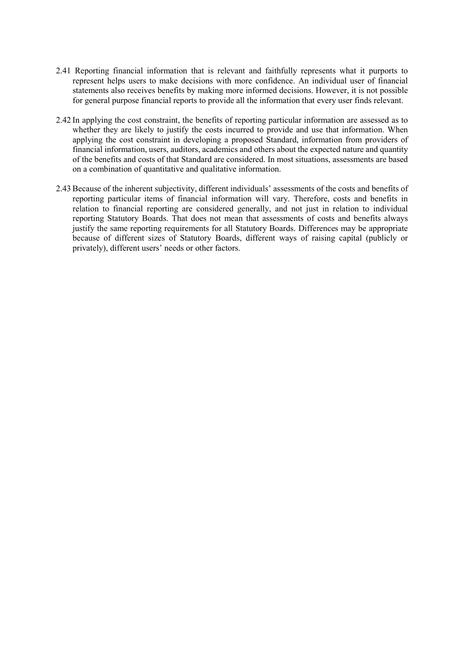- 2.41 Reporting financial information that is relevant and faithfully represents what it purports to represent helps users to make decisions with more confidence. An individual user of financial statements also receives benefits by making more informed decisions. However, it is not possible for general purpose financial reports to provide all the information that every user finds relevant.
- 2.42 In applying the cost constraint, the benefits of reporting particular information are assessed as to whether they are likely to justify the costs incurred to provide and use that information. When applying the cost constraint in developing a proposed Standard, information from providers of financial information, users, auditors, academics and others about the expected nature and quantity of the benefits and costs of that Standard are considered. In most situations, assessments are based on a combination of quantitative and qualitative information.
- 2.43 Because of the inherent subjectivity, different individuals' assessments of the costs and benefits of reporting particular items of financial information will vary. Therefore, costs and benefits in relation to financial reporting are considered generally, and not just in relation to individual reporting Statutory Boards. That does not mean that assessments of costs and benefits always justify the same reporting requirements for all Statutory Boards. Differences may be appropriate because of different sizes of Statutory Boards, different ways of raising capital (publicly or privately), different users' needs or other factors.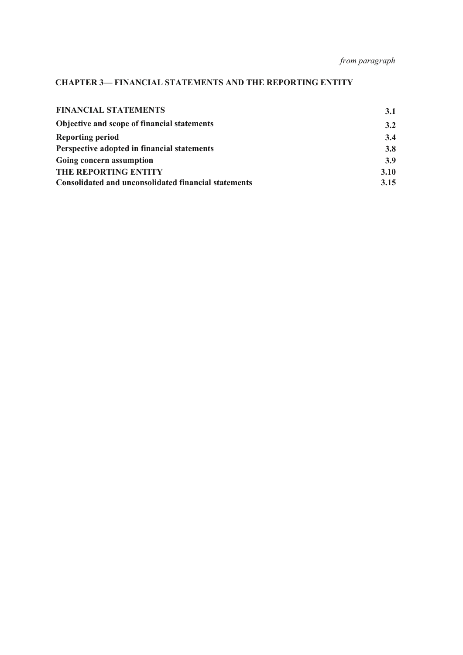# CHAPTER 3— FINANCIAL STATEMENTS AND THE REPORTING ENTITY

| <b>FINANCIAL STATEMENTS</b>                          | <b>3.1</b> |
|------------------------------------------------------|------------|
| Objective and scope of financial statements          | 3.2        |
| <b>Reporting period</b>                              | 3.4        |
| Perspective adopted in financial statements          | <b>3.8</b> |
| Going concern assumption                             | 3.9        |
| THE REPORTING ENTITY                                 | 3.10       |
| Consolidated and unconsolidated financial statements | 3.15       |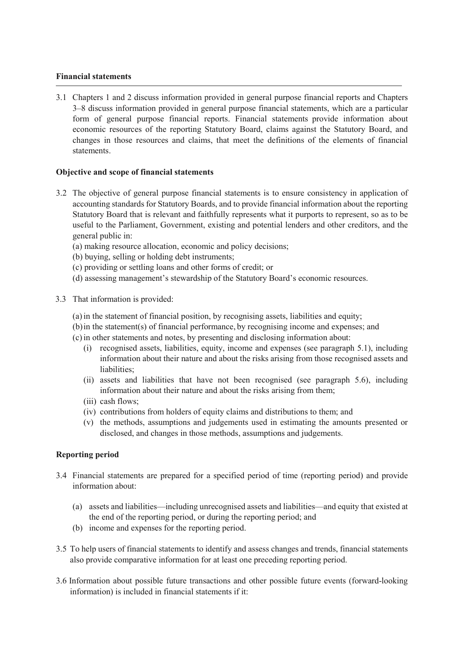## Financial statements

3.1 Chapters 1 and 2 discuss information provided in general purpose financial reports and Chapters 3–8 discuss information provided in general purpose financial statements, which are a particular form of general purpose financial reports. Financial statements provide information about economic resources of the reporting Statutory Board, claims against the Statutory Board, and changes in those resources and claims, that meet the definitions of the elements of financial statements.

## Objective and scope of financial statements

- 3.2 The objective of general purpose financial statements is to ensure consistency in application of accounting standards for Statutory Boards, and to provide financial information about the reporting Statutory Board that is relevant and faithfully represents what it purports to represent, so as to be useful to the Parliament, Government, existing and potential lenders and other creditors, and the general public in:
	- (a) making resource allocation, economic and policy decisions;
	- (b) buying, selling or holding debt instruments;
	- (c) providing or settling loans and other forms of credit; or
	- (d) assessing management's stewardship of the Statutory Board's economic resources.
- 3.3 That information is provided:
	- (a)in the statement of financial position, by recognising assets, liabilities and equity;
	- (b)in the statement(s) of financial performance, by recognising income and expenses; and
	- (c)in other statements and notes, by presenting and disclosing information about:
		- (i) recognised assets, liabilities, equity, income and expenses (see paragraph 5.1), including information about their nature and about the risks arising from those recognised assets and liabilities;
		- (ii) assets and liabilities that have not been recognised (see paragraph 5.6), including information about their nature and about the risks arising from them;
		- (iii) cash flows;
		- (iv) contributions from holders of equity claims and distributions to them; and
		- (v) the methods, assumptions and judgements used in estimating the amounts presented or disclosed, and changes in those methods, assumptions and judgements.

# Reporting period

- 3.4 Financial statements are prepared for a specified period of time (reporting period) and provide information about:
	- (a) assets and liabilities—including unrecognised assets and liabilities—and equity that existed at the end of the reporting period, or during the reporting period; and
	- (b) income and expenses for the reporting period.
- 3.5 To help users of financial statements to identify and assess changes and trends, financial statements also provide comparative information for at least one preceding reporting period.
- 3.6 Information about possible future transactions and other possible future events (forward-looking information) is included in financial statements if it: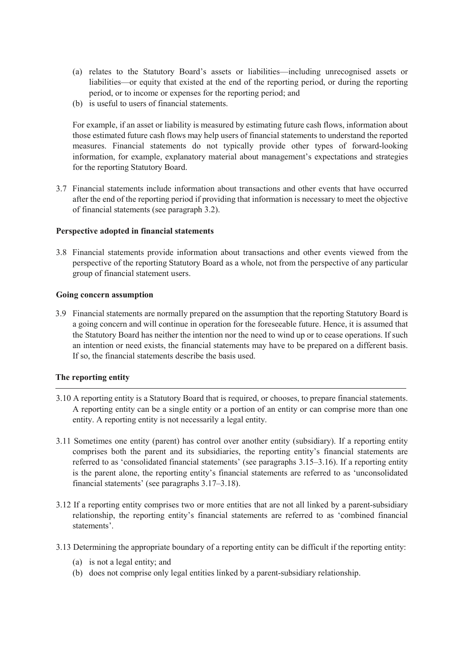- (a) relates to the Statutory Board's assets or liabilities—including unrecognised assets or liabilities—or equity that existed at the end of the reporting period, or during the reporting period, or to income or expenses for the reporting period; and
- (b) is useful to users of financial statements.

For example, if an asset or liability is measured by estimating future cash flows, information about those estimated future cash flows may help users of financial statements to understand the reported measures. Financial statements do not typically provide other types of forward-looking information, for example, explanatory material about management's expectations and strategies for the reporting Statutory Board.

3.7 Financial statements include information about transactions and other events that have occurred after the end of the reporting period if providing that information is necessary to meet the objective of financial statements (see paragraph 3.2).

## Perspective adopted in financial statements

3.8 Financial statements provide information about transactions and other events viewed from the perspective of the reporting Statutory Board as a whole, not from the perspective of any particular group of financial statement users.

## Going concern assumption

3.9 Financial statements are normally prepared on the assumption that the reporting Statutory Board is a going concern and will continue in operation for the foreseeable future. Hence, it is assumed that the Statutory Board has neither the intention nor the need to wind up or to cease operations. If such an intention or need exists, the financial statements may have to be prepared on a different basis. If so, the financial statements describe the basis used.

## The reporting entity

- 3.10 A reporting entity is a Statutory Board that is required, or chooses, to prepare financial statements. A reporting entity can be a single entity or a portion of an entity or can comprise more than one entity. A reporting entity is not necessarily a legal entity.
- 3.11 Sometimes one entity (parent) has control over another entity (subsidiary). If a reporting entity comprises both the parent and its subsidiaries, the reporting entity's financial statements are referred to as 'consolidated financial statements' (see paragraphs 3.15–3.16). If a reporting entity is the parent alone, the reporting entity's financial statements are referred to as 'unconsolidated financial statements' (see paragraphs 3.17–3.18).
- 3.12 If a reporting entity comprises two or more entities that are not all linked by a parent-subsidiary relationship, the reporting entity's financial statements are referred to as 'combined financial statements'.
- 3.13 Determining the appropriate boundary of a reporting entity can be difficult if the reporting entity:
	- (a) is not a legal entity; and
	- (b) does not comprise only legal entities linked by a parent-subsidiary relationship.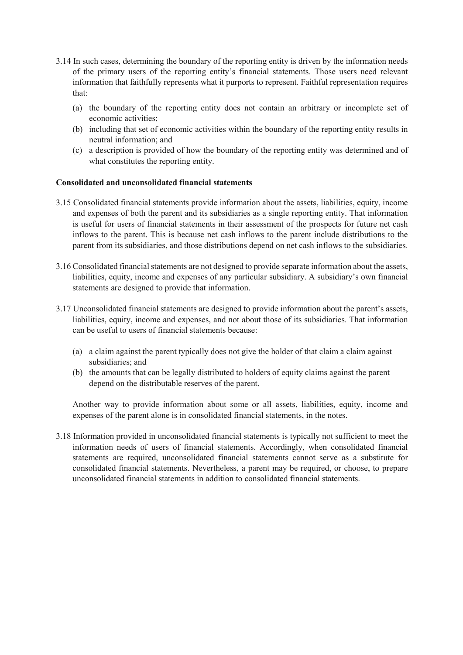- 3.14 In such cases, determining the boundary of the reporting entity is driven by the information needs of the primary users of the reporting entity's financial statements. Those users need relevant information that faithfully represents what it purports to represent. Faithful representation requires that:
	- (a) the boundary of the reporting entity does not contain an arbitrary or incomplete set of economic activities;
	- (b) including that set of economic activities within the boundary of the reporting entity results in neutral information; and
	- (c) a description is provided of how the boundary of the reporting entity was determined and of what constitutes the reporting entity.

# Consolidated and unconsolidated financial statements

- 3.15 Consolidated financial statements provide information about the assets, liabilities, equity, income and expenses of both the parent and its subsidiaries as a single reporting entity. That information is useful for users of financial statements in their assessment of the prospects for future net cash inflows to the parent. This is because net cash inflows to the parent include distributions to the parent from its subsidiaries, and those distributions depend on net cash inflows to the subsidiaries.
- 3.16 Consolidated financial statements are not designed to provide separate information about the assets, liabilities, equity, income and expenses of any particular subsidiary. A subsidiary's own financial statements are designed to provide that information.
- 3.17 Unconsolidated financial statements are designed to provide information about the parent's assets, liabilities, equity, income and expenses, and not about those of its subsidiaries. That information can be useful to users of financial statements because:
	- (a) a claim against the parent typically does not give the holder of that claim a claim against subsidiaries; and
	- (b) the amounts that can be legally distributed to holders of equity claims against the parent depend on the distributable reserves of the parent.

Another way to provide information about some or all assets, liabilities, equity, income and expenses of the parent alone is in consolidated financial statements, in the notes.

3.18 Information provided in unconsolidated financial statements is typically not sufficient to meet the information needs of users of financial statements. Accordingly, when consolidated financial statements are required, unconsolidated financial statements cannot serve as a substitute for consolidated financial statements. Nevertheless, a parent may be required, or choose, to prepare unconsolidated financial statements in addition to consolidated financial statements.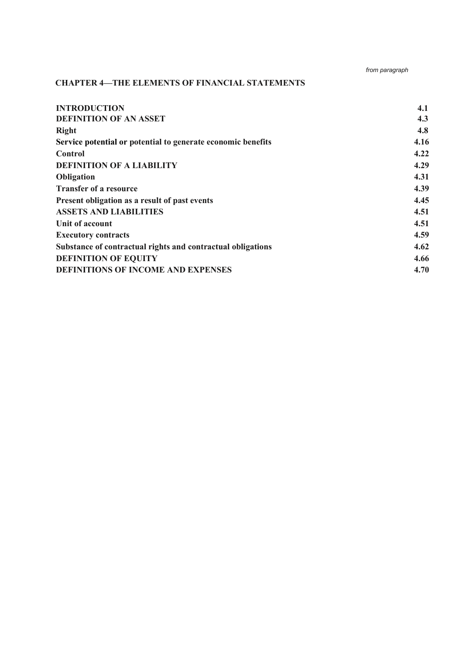from paragraph

# CHAPTER 4—THE ELEMENTS OF FINANCIAL STATEMENTS

| <b>INTRODUCTION</b>                                          | 4.1  |
|--------------------------------------------------------------|------|
| <b>DEFINITION OF AN ASSET</b>                                | 4.3  |
| <b>Right</b>                                                 | 4.8  |
| Service potential or potential to generate economic benefits | 4.16 |
| Control                                                      | 4.22 |
| <b>DEFINITION OF A LIABILITY</b>                             | 4.29 |
| Obligation                                                   | 4.31 |
| <b>Transfer of a resource</b>                                | 4.39 |
| Present obligation as a result of past events                | 4.45 |
| <b>ASSETS AND LIABILITIES</b>                                | 4.51 |
| <b>Unit of account</b>                                       | 4.51 |
| <b>Executory contracts</b>                                   | 4.59 |
| Substance of contractual rights and contractual obligations  | 4.62 |
| <b>DEFINITION OF EQUITY</b>                                  | 4.66 |
| <b>DEFINITIONS OF INCOME AND EXPENSES</b>                    | 4.70 |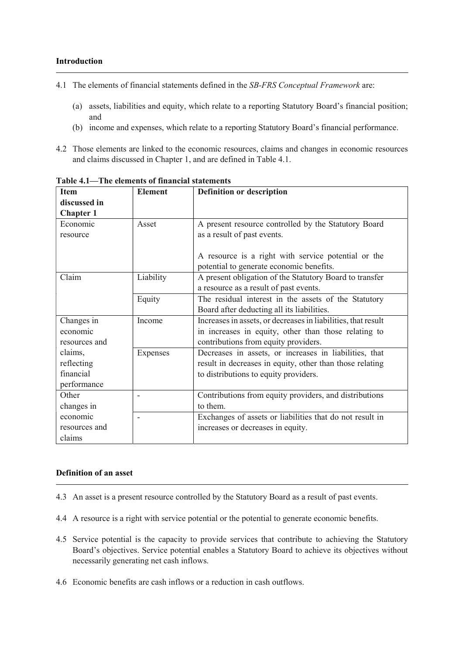#### Introduction

- 4.1 The elements of financial statements defined in the *SB-FRS Conceptual Framework* are:
	- (a) assets, liabilities and equity, which relate to a reporting Statutory Board's financial position; and
	- (b) income and expenses, which relate to a reporting Statutory Board's financial performance.
- 4.2 Those elements are linked to the economic resources, claims and changes in economic resources and claims discussed in Chapter 1, and are defined in Table 4.1.

| <b>Item</b>      | <b>Element</b>           | <b>Definition or description</b>                                                                   |
|------------------|--------------------------|----------------------------------------------------------------------------------------------------|
| discussed in     |                          |                                                                                                    |
| <b>Chapter 1</b> |                          |                                                                                                    |
| Economic         | Asset                    | A present resource controlled by the Statutory Board                                               |
| resource         |                          | as a result of past events.                                                                        |
|                  |                          | A resource is a right with service potential or the<br>potential to generate economic benefits.    |
| Claim            | Liability                | A present obligation of the Statutory Board to transfer<br>a resource as a result of past events.  |
|                  | Equity                   | The residual interest in the assets of the Statutory<br>Board after deducting all its liabilities. |
| Changes in       | Income                   | Increases in assets, or decreases in liabilities, that result                                      |
| economic         |                          | in increases in equity, other than those relating to                                               |
| resources and    |                          | contributions from equity providers.                                                               |
| claims,          | Expenses                 | Decreases in assets, or increases in liabilities, that                                             |
| reflecting       |                          | result in decreases in equity, other than those relating                                           |
| financial        |                          | to distributions to equity providers.                                                              |
| performance      |                          |                                                                                                    |
| Other            | $\overline{\phantom{a}}$ | Contributions from equity providers, and distributions                                             |
| changes in       |                          | to them.                                                                                           |
| economic         |                          | Exchanges of assets or liabilities that do not result in                                           |
| resources and    |                          | increases or decreases in equity.                                                                  |
| claims           |                          |                                                                                                    |

Table 4.1—The elements of financial statements

# Definition of an asset

- 4.3 An asset is a present resource controlled by the Statutory Board as a result of past events.
- 4.4 A resource is a right with service potential or the potential to generate economic benefits.
- 4.5 Service potential is the capacity to provide services that contribute to achieving the Statutory Board's objectives. Service potential enables a Statutory Board to achieve its objectives without necessarily generating net cash inflows.
- 4.6 Economic benefits are cash inflows or a reduction in cash outflows.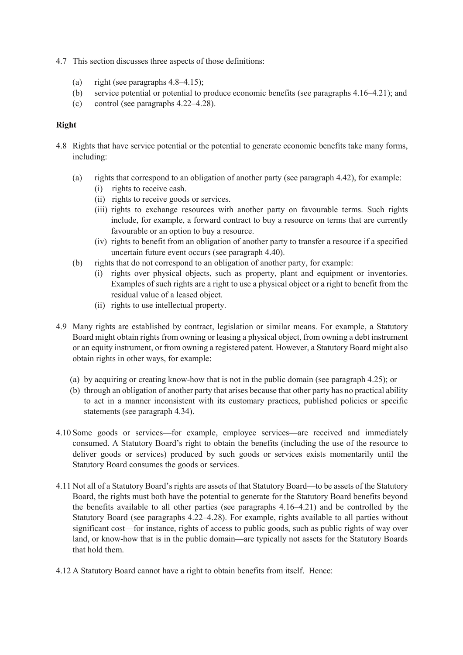- 4.7 This section discusses three aspects of those definitions:
	- (a) right (see paragraphs 4.8–4.15);
	- (b) service potential or potential to produce economic benefits (see paragraphs 4.16–4.21); and
	- (c) control (see paragraphs 4.22–4.28).

## Right

- 4.8 Rights that have service potential or the potential to generate economic benefits take many forms, including:
	- (a) rights that correspond to an obligation of another party (see paragraph 4.42), for example: (i) rights to receive cash.
		- (ii) rights to receive goods or services.
		- (iii) rights to exchange resources with another party on favourable terms. Such rights include, for example, a forward contract to buy a resource on terms that are currently favourable or an option to buy a resource.
		- (iv) rights to benefit from an obligation of another party to transfer a resource if a specified uncertain future event occurs (see paragraph 4.40).
	- (b) rights that do not correspond to an obligation of another party, for example:
		- (i) rights over physical objects, such as property, plant and equipment or inventories. Examples of such rights are a right to use a physical object or a right to benefit from the residual value of a leased object.
		- (ii) rights to use intellectual property.
- 4.9 Many rights are established by contract, legislation or similar means. For example, a Statutory Board might obtain rights from owning or leasing a physical object, from owning a debt instrument or an equity instrument, or from owning a registered patent. However, a Statutory Board might also obtain rights in other ways, for example:
	- (a) by acquiring or creating know-how that is not in the public domain (see paragraph 4.25); or
	- (b) through an obligation of another party that arises because that other party has no practical ability to act in a manner inconsistent with its customary practices, published policies or specific statements (see paragraph 4.34).
- 4.10 Some goods or services—for example, employee services—are received and immediately consumed. A Statutory Board's right to obtain the benefits (including the use of the resource to deliver goods or services) produced by such goods or services exists momentarily until the Statutory Board consumes the goods or services.
- 4.11 Not all of a Statutory Board's rights are assets of that Statutory Board—to be assets of the Statutory Board, the rights must both have the potential to generate for the Statutory Board benefits beyond the benefits available to all other parties (see paragraphs 4.16–4.21) and be controlled by the Statutory Board (see paragraphs 4.22–4.28). For example, rights available to all parties without significant cost—for instance, rights of access to public goods, such as public rights of way over land, or know-how that is in the public domain—are typically not assets for the Statutory Boards that hold them.
- 4.12 A Statutory Board cannot have a right to obtain benefits from itself. Hence: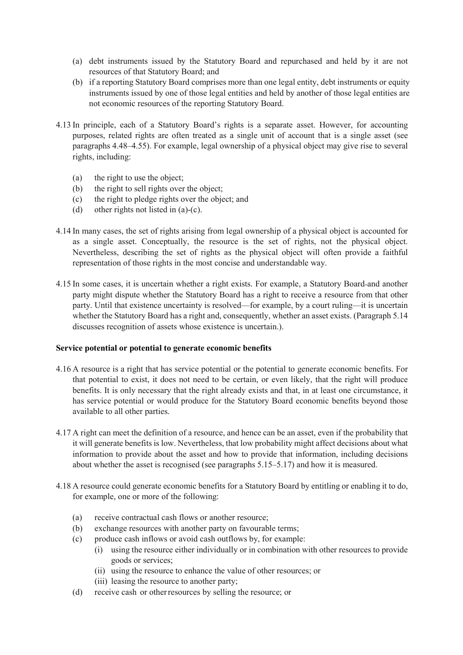- (a) debt instruments issued by the Statutory Board and repurchased and held by it are not resources of that Statutory Board; and
- (b) if a reporting Statutory Board comprises more than one legal entity, debt instruments or equity instruments issued by one of those legal entities and held by another of those legal entities are not economic resources of the reporting Statutory Board.
- 4.13 In principle, each of a Statutory Board's rights is a separate asset. However, for accounting purposes, related rights are often treated as a single unit of account that is a single asset (see paragraphs 4.48–4.55). For example, legal ownership of a physical object may give rise to several rights, including:
	- (a) the right to use the object;
	- (b) the right to sell rights over the object;
	- (c) the right to pledge rights over the object; and
	- (d) other rights not listed in (a)-(c).
- 4.14 In many cases, the set of rights arising from legal ownership of a physical object is accounted for as a single asset. Conceptually, the resource is the set of rights, not the physical object. Nevertheless, describing the set of rights as the physical object will often provide a faithful representation of those rights in the most concise and understandable way.
- 4.15 In some cases, it is uncertain whether a right exists. For example, a Statutory Board and another party might dispute whether the Statutory Board has a right to receive a resource from that other party. Until that existence uncertainty is resolved—for example, by a court ruling—it is uncertain whether the Statutory Board has a right and, consequently, whether an asset exists. (Paragraph 5.14 discusses recognition of assets whose existence is uncertain.).

## Service potential or potential to generate economic benefits

- 4.16 A resource is a right that has service potential or the potential to generate economic benefits. For that potential to exist, it does not need to be certain, or even likely, that the right will produce benefits. It is only necessary that the right already exists and that, in at least one circumstance, it has service potential or would produce for the Statutory Board economic benefits beyond those available to all other parties.
- 4.17 A right can meet the definition of a resource, and hence can be an asset, even if the probability that it will generate benefits is low. Nevertheless, that low probability might affect decisions about what information to provide about the asset and how to provide that information, including decisions about whether the asset is recognised (see paragraphs 5.15–5.17) and how it is measured.
- 4.18 A resource could generate economic benefits for a Statutory Board by entitling or enabling it to do, for example, one or more of the following:
	- (a) receive contractual cash flows or another resource;
	- (b) exchange resources with another party on favourable terms;
	- (c) produce cash inflows or avoid cash outflows by, for example:
		- (i) using the resource either individually or in combination with other resources to provide goods or services;
		- (ii) using the resource to enhance the value of other resources; or
		- (iii) leasing the resource to another party;
	- (d) receive cash or other resources by selling the resource; or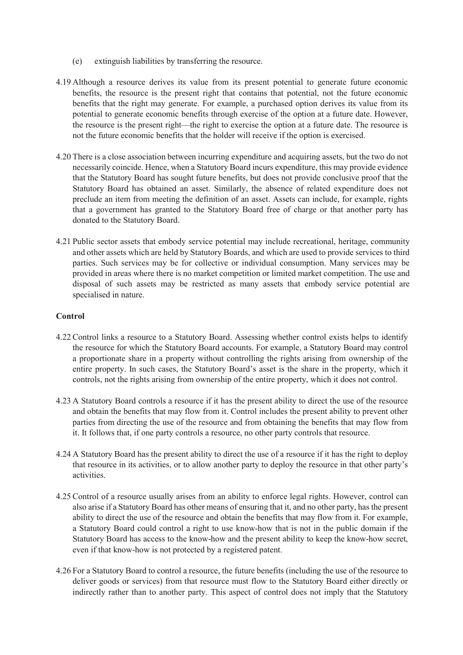- (e) extinguish liabilities by transferring the resource.
- 4.19 Although a resource derives its value from its present potential to generate future economic benefits, the resource is the present right that contains that potential, not the future economic benefits that the right may generate. For example, a purchased option derives its value from its potential to generate economic benefits through exercise of the option at a future date. However, the resource is the present right—the right to exercise the option at a future date. The resource is not the future economic benefits that the holder will receive if the option is exercised.
- 4.20 There is a close association between incurring expenditure and acquiring assets, but the two do not necessarily coincide. Hence, when a Statutory Board incurs expenditure, this may provide evidence that the Statutory Board has sought future benefits, but does not provide conclusive proof that the Statutory Board has obtained an asset. Similarly, the absence of related expenditure does not preclude an item from meeting the definition of an asset. Assets can include, for example, rights that a government has granted to the Statutory Board free of charge or that another party has donated to the Statutory Board.
- 4.21 Public sector assets that embody service potential may include recreational, heritage, community and other assets which are held by Statutory Boards, and which are used to provide services to third parties. Such services may be for collective or individual consumption. Many services may be provided in areas where there is no market competition or limited market competition. The use and disposal of such assets may be restricted as many assets that embody service potential are specialised in nature.

# Control

- 4.22 Control links a resource to a Statutory Board. Assessing whether control exists helps to identify the resource for which the Statutory Board accounts. For example, a Statutory Board may control a proportionate share in a property without controlling the rights arising from ownership of the entire property. In such cases, the Statutory Board's asset is the share in the property, which it controls, not the rights arising from ownership of the entire property, which it does not control.
- 4.23 A Statutory Board controls a resource if it has the present ability to direct the use of the resource and obtain the benefits that may flow from it. Control includes the present ability to prevent other parties from directing the use of the resource and from obtaining the benefits that may flow from it. It follows that, if one party controls a resource, no other party controls that resource.
- 4.24 A Statutory Board has the present ability to direct the use of a resource if it has the right to deploy that resource in its activities, or to allow another party to deploy the resource in that other party's activities.
- 4.25 Control of a resource usually arises from an ability to enforce legal rights. However, control can also arise if a Statutory Board has other means of ensuring that it, and no other party, has the present ability to direct the use of the resource and obtain the benefits that may flow from it. For example, a Statutory Board could control a right to use know-how that is not in the public domain if the Statutory Board has access to the know-how and the present ability to keep the know-how secret, even if that know-how is not protected by a registered patent.
- 4.26 For a Statutory Board to control a resource, the future benefits (including the use of the resource to deliver goods or services) from that resource must flow to the Statutory Board either directly or indirectly rather than to another party. This aspect of control does not imply that the Statutory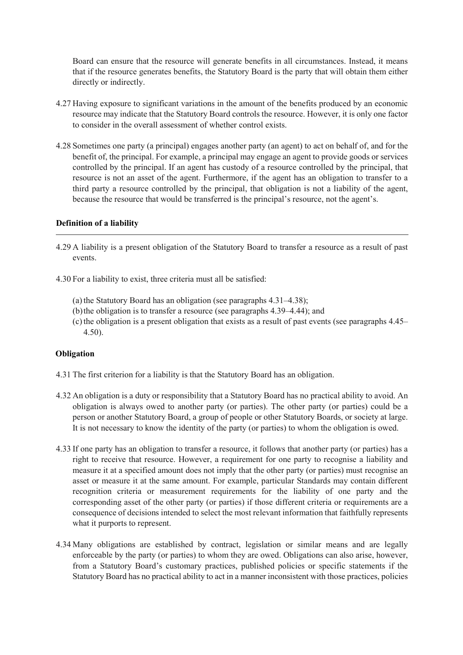Board can ensure that the resource will generate benefits in all circumstances. Instead, it means that if the resource generates benefits, the Statutory Board is the party that will obtain them either directly or indirectly.

- 4.27 Having exposure to significant variations in the amount of the benefits produced by an economic resource may indicate that the Statutory Board controls the resource. However, it is only one factor to consider in the overall assessment of whether control exists.
- 4.28 Sometimes one party (a principal) engages another party (an agent) to act on behalf of, and for the benefit of, the principal. For example, a principal may engage an agent to provide goods or services controlled by the principal. If an agent has custody of a resource controlled by the principal, that resource is not an asset of the agent. Furthermore, if the agent has an obligation to transfer to a third party a resource controlled by the principal, that obligation is not a liability of the agent, because the resource that would be transferred is the principal's resource, not the agent's.

## Definition of a liability

- 4.29 A liability is a present obligation of the Statutory Board to transfer a resource as a result of past events.
- 4.30 For a liability to exist, three criteria must all be satisfied:
	- (a)the Statutory Board has an obligation (see paragraphs 4.31–4.38);
	- (b)the obligation is to transfer a resource (see paragraphs 4.39–4.44); and
	- (c)the obligation is a present obligation that exists as a result of past events (see paragraphs 4.45– 4.50).

## **Obligation**

- 4.31 The first criterion for a liability is that the Statutory Board has an obligation.
- 4.32 An obligation is a duty or responsibility that a Statutory Board has no practical ability to avoid. An obligation is always owed to another party (or parties). The other party (or parties) could be a person or another Statutory Board, a group of people or other Statutory Boards, or society at large. It is not necessary to know the identity of the party (or parties) to whom the obligation is owed.
- 4.33 If one party has an obligation to transfer a resource, it follows that another party (or parties) has a right to receive that resource. However, a requirement for one party to recognise a liability and measure it at a specified amount does not imply that the other party (or parties) must recognise an asset or measure it at the same amount. For example, particular Standards may contain different recognition criteria or measurement requirements for the liability of one party and the corresponding asset of the other party (or parties) if those different criteria or requirements are a consequence of decisions intended to select the most relevant information that faithfully represents what it purports to represent.
- 4.34 Many obligations are established by contract, legislation or similar means and are legally enforceable by the party (or parties) to whom they are owed. Obligations can also arise, however, from a Statutory Board's customary practices, published policies or specific statements if the Statutory Board has no practical ability to act in a manner inconsistent with those practices, policies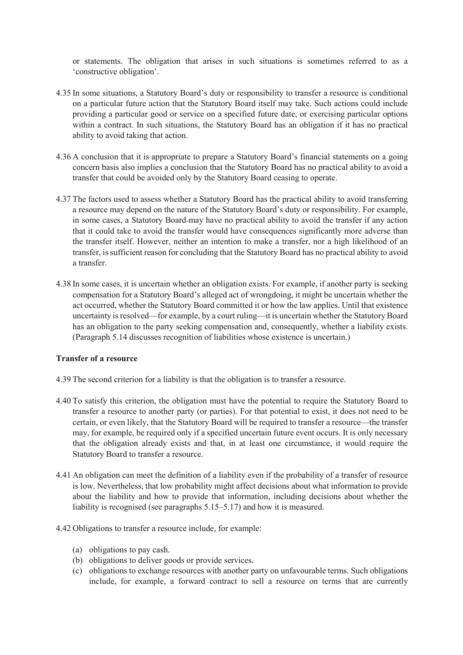or statements. The obligation that arises in such situations is sometimes referred to as a 'constructive obligation'.

- 4.35 In some situations, a Statutory Board's duty or responsibility to transfer a resource is conditional on a particular future action that the Statutory Board itself may take. Such actions could include providing a particular good or service on a specified future date, or exercising particular options within a contract. In such situations, the Statutory Board has an obligation if it has no practical ability to avoid taking that action.
- 4.36 A conclusion that it is appropriate to prepare a Statutory Board's financial statements on a going concern basis also implies a conclusion that the Statutory Board has no practical ability to avoid a transfer that could be avoided only by the Statutory Board ceasing to operate.
- 4.37 The factors used to assess whether a Statutory Board has the practical ability to avoid transferring a resource may depend on the nature of the Statutory Board's duty or responsibility. For example, in some cases, a Statutory Board-may have no practical ability to avoid the transfer if any action that it could take to avoid the transfer would have consequences significantly more adverse than the transfer itself. However, neither an intention to make a transfer, nor a high likelihood of an transfer, is sufficient reason for concluding that the Statutory Board has no practical ability to avoid a transfer.
- 4.38 In some cases, it is uncertain whether an obligation exists. For example, if another party is seeking compensation for a Statutory Board's alleged act of wrongdoing, it might be uncertain whether the act occurred, whether the Statutory Board committed it or how the law applies. Until that existence uncertainty is resolved—for example, by a court ruling—it is uncertain whether the Statutory Board has an obligation to the party seeking compensation and, consequently, whether a liability exists. (Paragraph 5.14 discusses recognition of liabilities whose existence is uncertain.)

## Transfer of a resource

- 4.39 The second criterion for a liability is that the obligation is to transfer a resource.
- 4.40 To satisfy this criterion, the obligation must have the potential to require the Statutory Board to transfer a resource to another party (or parties). For that potential to exist, it does not need to be certain, or even likely, that the Statutory Board will be required to transfer a resource—the transfer may, for example, be required only if a specified uncertain future event occurs. It is only necessary that the obligation already exists and that, in at least one circumstance, it would require the Statutory Board to transfer a resource.
- 4.41 An obligation can meet the definition of a liability even if the probability of a transfer of resource is low. Nevertheless, that low probability might affect decisions about what information to provide about the liability and how to provide that information, including decisions about whether the liability is recognised (see paragraphs 5.15–5.17) and how it is measured.

## 4.42 Obligations to transfer a resource include, for example:

- (a) obligations to pay cash.
- (b) obligations to deliver goods or provide services.
- (c) obligations to exchange resources with another party on unfavourable terms. Such obligations include, for example, a forward contract to sell a resource on terms that are currently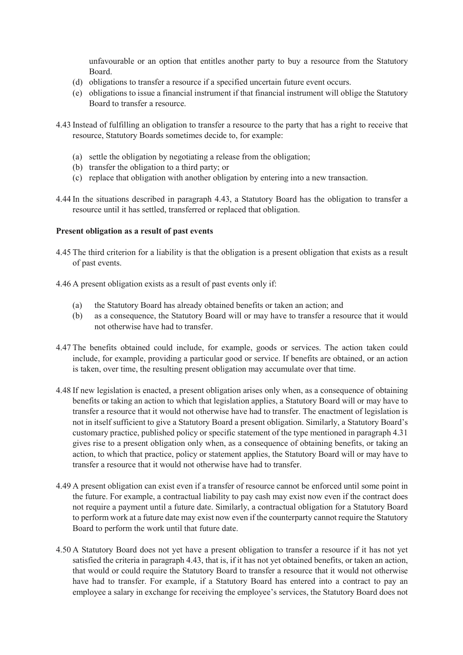unfavourable or an option that entitles another party to buy a resource from the Statutory Board.

- (d) obligations to transfer a resource if a specified uncertain future event occurs.
- (e) obligations to issue a financial instrument if that financial instrument will oblige the Statutory Board to transfer a resource.
- 4.43 Instead of fulfilling an obligation to transfer a resource to the party that has a right to receive that resource, Statutory Boards sometimes decide to, for example:
	- (a) settle the obligation by negotiating a release from the obligation;
	- (b) transfer the obligation to a third party; or
	- (c) replace that obligation with another obligation by entering into a new transaction.
- 4.44 In the situations described in paragraph 4.43, a Statutory Board has the obligation to transfer a resource until it has settled, transferred or replaced that obligation.

## Present obligation as a result of past events

- 4.45 The third criterion for a liability is that the obligation is a present obligation that exists as a result of past events.
- 4.46 A present obligation exists as a result of past events only if:
	- (a) the Statutory Board has already obtained benefits or taken an action; and
	- (b) as a consequence, the Statutory Board will or may have to transfer a resource that it would not otherwise have had to transfer.
- 4.47 The benefits obtained could include, for example, goods or services. The action taken could include, for example, providing a particular good or service. If benefits are obtained, or an action is taken, over time, the resulting present obligation may accumulate over that time.
- 4.48 If new legislation is enacted, a present obligation arises only when, as a consequence of obtaining benefits or taking an action to which that legislation applies, a Statutory Board will or may have to transfer a resource that it would not otherwise have had to transfer. The enactment of legislation is not in itself sufficient to give a Statutory Board a present obligation. Similarly, a Statutory Board's customary practice, published policy or specific statement of the type mentioned in paragraph 4.31 gives rise to a present obligation only when, as a consequence of obtaining benefits, or taking an action, to which that practice, policy or statement applies, the Statutory Board will or may have to transfer a resource that it would not otherwise have had to transfer.
- 4.49 A present obligation can exist even if a transfer of resource cannot be enforced until some point in the future. For example, a contractual liability to pay cash may exist now even if the contract does not require a payment until a future date. Similarly, a contractual obligation for a Statutory Board to perform work at a future date may exist now even if the counterparty cannot require the Statutory Board to perform the work until that future date.
- 4.50 A Statutory Board does not yet have a present obligation to transfer a resource if it has not yet satisfied the criteria in paragraph 4.43, that is, if it has not yet obtained benefits, or taken an action, that would or could require the Statutory Board to transfer a resource that it would not otherwise have had to transfer. For example, if a Statutory Board has entered into a contract to pay an employee a salary in exchange for receiving the employee's services, the Statutory Board does not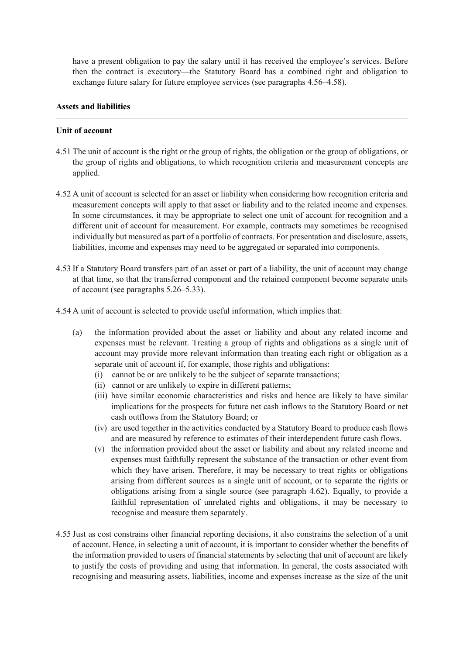have a present obligation to pay the salary until it has received the employee's services. Before then the contract is executory—the Statutory Board has a combined right and obligation to exchange future salary for future employee services (see paragraphs 4.56–4.58).

## Assets and liabilities

## Unit of account

- 4.51 The unit of account is the right or the group of rights, the obligation or the group of obligations, or the group of rights and obligations, to which recognition criteria and measurement concepts are applied.
- 4.52 A unit of account is selected for an asset or liability when considering how recognition criteria and measurement concepts will apply to that asset or liability and to the related income and expenses. In some circumstances, it may be appropriate to select one unit of account for recognition and a different unit of account for measurement. For example, contracts may sometimes be recognised individually but measured as part of a portfolio of contracts. For presentation and disclosure, assets, liabilities, income and expenses may need to be aggregated or separated into components.
- 4.53 If a Statutory Board transfers part of an asset or part of a liability, the unit of account may change at that time, so that the transferred component and the retained component become separate units of account (see paragraphs 5.26–5.33).
- 4.54 A unit of account is selected to provide useful information, which implies that:
	- (a) the information provided about the asset or liability and about any related income and expenses must be relevant. Treating a group of rights and obligations as a single unit of account may provide more relevant information than treating each right or obligation as a separate unit of account if, for example, those rights and obligations:
		- (i) cannot be or are unlikely to be the subject of separate transactions;
		- (ii) cannot or are unlikely to expire in different patterns;
		- (iii) have similar economic characteristics and risks and hence are likely to have similar implications for the prospects for future net cash inflows to the Statutory Board or net cash outflows from the Statutory Board; or
		- (iv) are used together in the activities conducted by a Statutory Board to produce cash flows and are measured by reference to estimates of their interdependent future cash flows.
		- (v) the information provided about the asset or liability and about any related income and expenses must faithfully represent the substance of the transaction or other event from which they have arisen. Therefore, it may be necessary to treat rights or obligations arising from different sources as a single unit of account, or to separate the rights or obligations arising from a single source (see paragraph 4.62). Equally, to provide a faithful representation of unrelated rights and obligations, it may be necessary to recognise and measure them separately.
- 4.55 Just as cost constrains other financial reporting decisions, it also constrains the selection of a unit of account. Hence, in selecting a unit of account, it is important to consider whether the benefits of the information provided to users of financial statements by selecting that unit of account are likely to justify the costs of providing and using that information. In general, the costs associated with recognising and measuring assets, liabilities, income and expenses increase as the size of the unit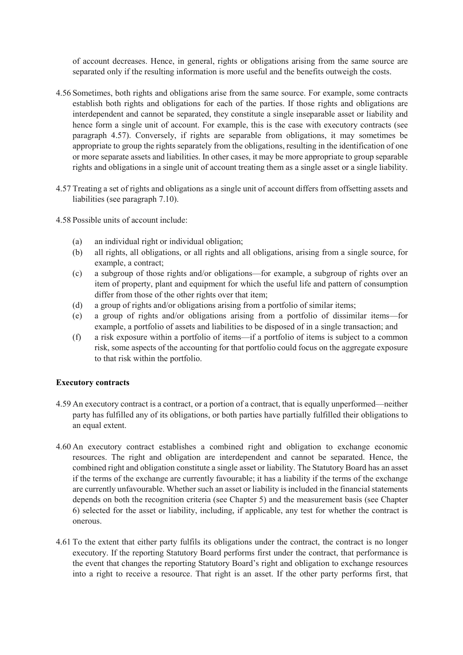of account decreases. Hence, in general, rights or obligations arising from the same source are separated only if the resulting information is more useful and the benefits outweigh the costs.

- 4.56 Sometimes, both rights and obligations arise from the same source. For example, some contracts establish both rights and obligations for each of the parties. If those rights and obligations are interdependent and cannot be separated, they constitute a single inseparable asset or liability and hence form a single unit of account. For example, this is the case with executory contracts (see paragraph 4.57). Conversely, if rights are separable from obligations, it may sometimes be appropriate to group the rights separately from the obligations, resulting in the identification of one or more separate assets and liabilities. In other cases, it may be more appropriate to group separable rights and obligations in a single unit of account treating them as a single asset or a single liability.
- 4.57 Treating a set of rights and obligations as a single unit of account differs from offsetting assets and liabilities (see paragraph 7.10).
- 4.58 Possible units of account include:
	- (a) an individual right or individual obligation;
	- (b) all rights, all obligations, or all rights and all obligations, arising from a single source, for example, a contract;
	- (c) a subgroup of those rights and/or obligations—for example, a subgroup of rights over an item of property, plant and equipment for which the useful life and pattern of consumption differ from those of the other rights over that item;
	- (d) a group of rights and/or obligations arising from a portfolio of similar items;
	- (e) a group of rights and/or obligations arising from a portfolio of dissimilar items—for example, a portfolio of assets and liabilities to be disposed of in a single transaction; and
	- (f) a risk exposure within a portfolio of items—if a portfolio of items is subject to a common risk, some aspects of the accounting for that portfolio could focus on the aggregate exposure to that risk within the portfolio.

# Executory contracts

- 4.59 An executory contract is a contract, or a portion of a contract, that is equally unperformed—neither party has fulfilled any of its obligations, or both parties have partially fulfilled their obligations to an equal extent.
- 4.60 An executory contract establishes a combined right and obligation to exchange economic resources. The right and obligation are interdependent and cannot be separated. Hence, the combined right and obligation constitute a single asset or liability. The Statutory Board has an asset if the terms of the exchange are currently favourable; it has a liability if the terms of the exchange are currently unfavourable. Whether such an asset or liability is included in the financial statements depends on both the recognition criteria (see Chapter 5) and the measurement basis (see Chapter 6) selected for the asset or liability, including, if applicable, any test for whether the contract is onerous.
- 4.61 To the extent that either party fulfils its obligations under the contract, the contract is no longer executory. If the reporting Statutory Board performs first under the contract, that performance is the event that changes the reporting Statutory Board's right and obligation to exchange resources into a right to receive a resource. That right is an asset. If the other party performs first, that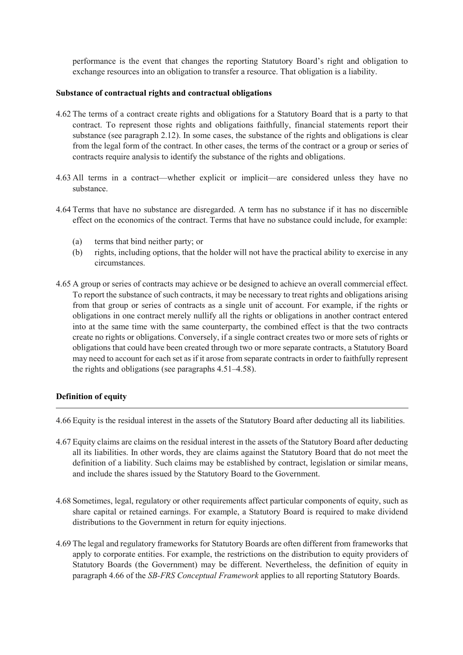performance is the event that changes the reporting Statutory Board's right and obligation to exchange resources into an obligation to transfer a resource. That obligation is a liability.

## Substance of contractual rights and contractual obligations

- 4.62 The terms of a contract create rights and obligations for a Statutory Board that is a party to that contract. To represent those rights and obligations faithfully, financial statements report their substance (see paragraph 2.12). In some cases, the substance of the rights and obligations is clear from the legal form of the contract. In other cases, the terms of the contract or a group or series of contracts require analysis to identify the substance of the rights and obligations.
- 4.63 All terms in a contract—whether explicit or implicit—are considered unless they have no substance.
- 4.64 Terms that have no substance are disregarded. A term has no substance if it has no discernible effect on the economics of the contract. Terms that have no substance could include, for example:
	- (a) terms that bind neither party; or
	- (b) rights, including options, that the holder will not have the practical ability to exercise in any circumstances.
- 4.65 A group or series of contracts may achieve or be designed to achieve an overall commercial effect. To report the substance of such contracts, it may be necessary to treat rights and obligations arising from that group or series of contracts as a single unit of account. For example, if the rights or obligations in one contract merely nullify all the rights or obligations in another contract entered into at the same time with the same counterparty, the combined effect is that the two contracts create no rights or obligations. Conversely, if a single contract creates two or more sets of rights or obligations that could have been created through two or more separate contracts, a Statutory Board may need to account for each set as if it arose from separate contracts in order to faithfully represent the rights and obligations (see paragraphs 4.51–4.58).

# Definition of equity

4.66 Equity is the residual interest in the assets of the Statutory Board after deducting all its liabilities.

- 4.67 Equity claims are claims on the residual interest in the assets of the Statutory Board after deducting all its liabilities. In other words, they are claims against the Statutory Board that do not meet the definition of a liability. Such claims may be established by contract, legislation or similar means, and include the shares issued by the Statutory Board to the Government.
- 4.68 Sometimes, legal, regulatory or other requirements affect particular components of equity, such as share capital or retained earnings. For example, a Statutory Board is required to make dividend distributions to the Government in return for equity injections.
- 4.69 The legal and regulatory frameworks for Statutory Boards are often different from frameworks that apply to corporate entities. For example, the restrictions on the distribution to equity providers of Statutory Boards (the Government) may be different. Nevertheless, the definition of equity in paragraph 4.66 of the SB-FRS Conceptual Framework applies to all reporting Statutory Boards.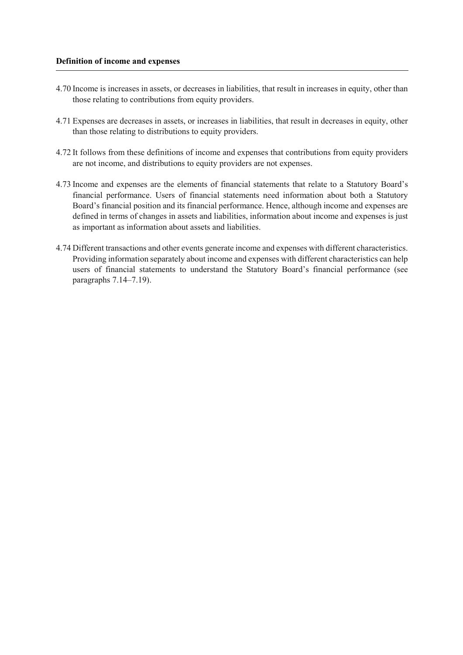#### Definition of income and expenses

- 4.70 Income is increases in assets, or decreases in liabilities, that result in increases in equity, other than those relating to contributions from equity providers.
- 4.71 Expenses are decreases in assets, or increases in liabilities, that result in decreases in equity, other than those relating to distributions to equity providers.
- 4.72 It follows from these definitions of income and expenses that contributions from equity providers are not income, and distributions to equity providers are not expenses.
- 4.73 Income and expenses are the elements of financial statements that relate to a Statutory Board's financial performance. Users of financial statements need information about both a Statutory Board's financial position and its financial performance. Hence, although income and expenses are defined in terms of changes in assets and liabilities, information about income and expenses is just as important as information about assets and liabilities.
- 4.74 Different transactions and other events generate income and expenses with different characteristics. Providing information separately about income and expenses with different characteristics can help users of financial statements to understand the Statutory Board's financial performance (see paragraphs 7.14–7.19).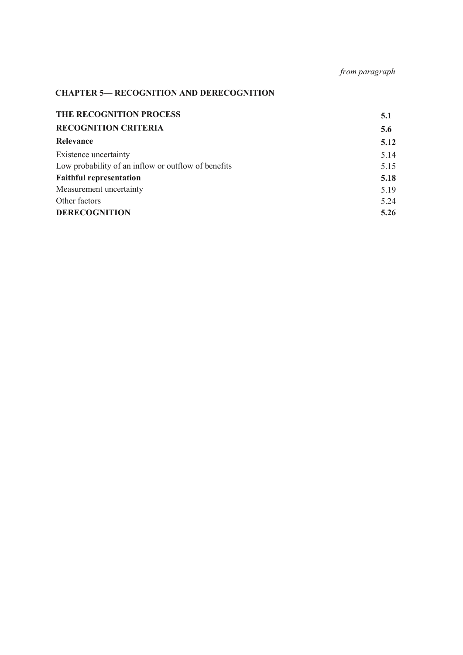# CHAPTER 5— RECOGNITION AND DERECOGNITION

| 5.1  |
|------|
| 5.6  |
| 5.12 |
| 5.14 |
| 5.15 |
| 5.18 |
| 5.19 |
| 5.24 |
| 5.26 |
|      |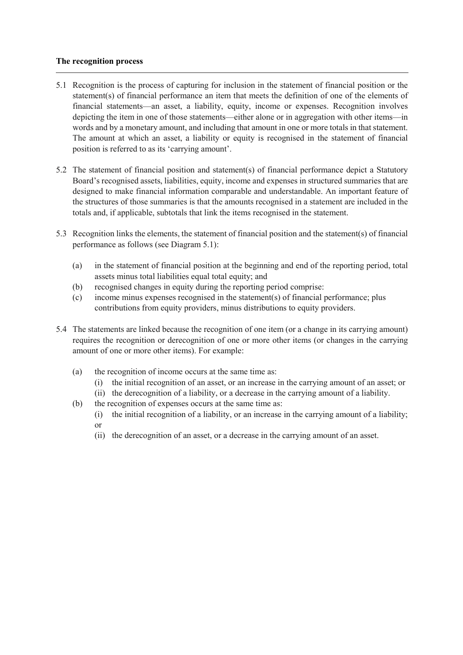## The recognition process

- 5.1 Recognition is the process of capturing for inclusion in the statement of financial position or the statement(s) of financial performance an item that meets the definition of one of the elements of financial statements—an asset, a liability, equity, income or expenses. Recognition involves depicting the item in one of those statements—either alone or in aggregation with other items—in words and by a monetary amount, and including that amount in one or more totals in that statement. The amount at which an asset, a liability or equity is recognised in the statement of financial position is referred to as its 'carrying amount'.
- 5.2 The statement of financial position and statement(s) of financial performance depict a Statutory Board's recognised assets, liabilities, equity, income and expenses in structured summaries that are designed to make financial information comparable and understandable. An important feature of the structures of those summaries is that the amounts recognised in a statement are included in the totals and, if applicable, subtotals that link the items recognised in the statement.
- 5.3 Recognition links the elements, the statement of financial position and the statement(s) of financial performance as follows (see Diagram 5.1):
	- (a) in the statement of financial position at the beginning and end of the reporting period, total assets minus total liabilities equal total equity; and
	- (b) recognised changes in equity during the reporting period comprise:
	- (c) income minus expenses recognised in the statement(s) of financial performance; plus contributions from equity providers, minus distributions to equity providers.
- 5.4 The statements are linked because the recognition of one item (or a change in its carrying amount) requires the recognition or derecognition of one or more other items (or changes in the carrying amount of one or more other items). For example:
	- (a) the recognition of income occurs at the same time as:
		- (i) the initial recognition of an asset, or an increase in the carrying amount of an asset; or
		- (ii) the derecognition of a liability, or a decrease in the carrying amount of a liability.
	- (b) the recognition of expenses occurs at the same time as:
		- (i) the initial recognition of a liability, or an increase in the carrying amount of a liability; or
		- (ii) the derecognition of an asset, or a decrease in the carrying amount of an asset.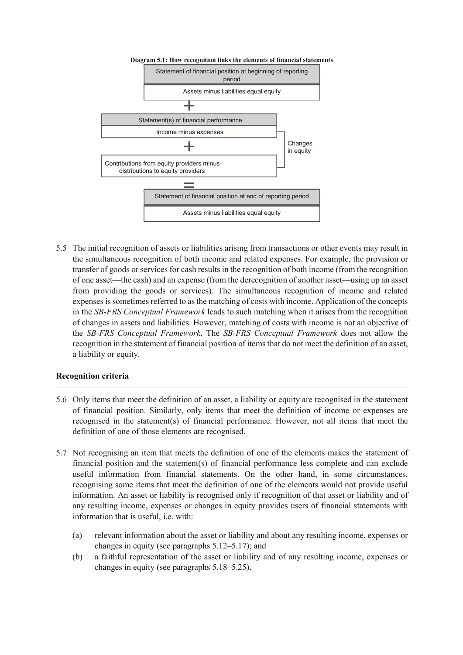

5.5 The initial recognition of assets or liabilities arising from transactions or other events may result in the simultaneous recognition of both income and related expenses. For example, the provision or transfer of goods or services for cash results in the recognition of both income (from the recognition of one asset—the cash) and an expense (from the derecognition of another asset—using up an asset from providing the goods or services). The simultaneous recognition of income and related expenses is sometimes referred to as the matching of costs with income. Application of the concepts in the SB-FRS Conceptual Framework leads to such matching when it arises from the recognition of changes in assets and liabilities. However, matching of costs with income is not an objective of the SB-FRS Conceptual Framework. The SB-FRS Conceptual Framework does not allow the recognition in the statement of financial position of items that do not meet the definition of an asset, a liability or equity.

# Recognition criteria

- 5.6 Only items that meet the definition of an asset, a liability or equity are recognised in the statement of financial position. Similarly, only items that meet the definition of income or expenses are recognised in the statement(s) of financial performance. However, not all items that meet the definition of one of those elements are recognised.
- 5.7 Not recognising an item that meets the definition of one of the elements makes the statement of financial position and the statement(s) of financial performance less complete and can exclude useful information from financial statements. On the other hand, in some circumstances, recognising some items that meet the definition of one of the elements would not provide useful information. An asset or liability is recognised only if recognition of that asset or liability and of any resulting income, expenses or changes in equity provides users of financial statements with information that is useful, i.e. with:
	- (a) relevant information about the asset or liability and about any resulting income, expenses or changes in equity (see paragraphs 5.12–5.17); and
	- (b) a faithful representation of the asset or liability and of any resulting income, expenses or changes in equity (see paragraphs 5.18–5.25).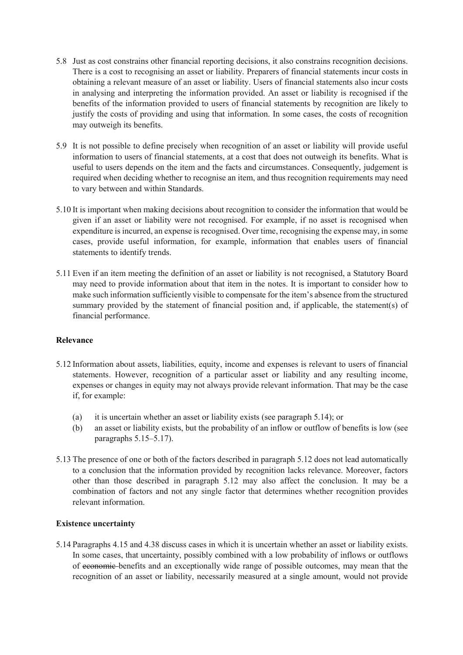- 5.8 Just as cost constrains other financial reporting decisions, it also constrains recognition decisions. There is a cost to recognising an asset or liability. Preparers of financial statements incur costs in obtaining a relevant measure of an asset or liability. Users of financial statements also incur costs in analysing and interpreting the information provided. An asset or liability is recognised if the benefits of the information provided to users of financial statements by recognition are likely to justify the costs of providing and using that information. In some cases, the costs of recognition may outweigh its benefits.
- 5.9 It is not possible to define precisely when recognition of an asset or liability will provide useful information to users of financial statements, at a cost that does not outweigh its benefits. What is useful to users depends on the item and the facts and circumstances. Consequently, judgement is required when deciding whether to recognise an item, and thus recognition requirements may need to vary between and within Standards.
- 5.10 It is important when making decisions about recognition to consider the information that would be given if an asset or liability were not recognised. For example, if no asset is recognised when expenditure is incurred, an expense is recognised. Over time, recognising the expense may, in some cases, provide useful information, for example, information that enables users of financial statements to identify trends.
- 5.11 Even if an item meeting the definition of an asset or liability is not recognised, a Statutory Board may need to provide information about that item in the notes. It is important to consider how to make such information sufficiently visible to compensate for the item's absence from the structured summary provided by the statement of financial position and, if applicable, the statement(s) of financial performance.

# Relevance

- 5.12 Information about assets, liabilities, equity, income and expenses is relevant to users of financial statements. However, recognition of a particular asset or liability and any resulting income, expenses or changes in equity may not always provide relevant information. That may be the case if, for example:
	- (a) it is uncertain whether an asset or liability exists (see paragraph 5.14); or
	- (b) an asset or liability exists, but the probability of an inflow or outflow of benefits is low (see paragraphs 5.15–5.17).
- 5.13 The presence of one or both of the factors described in paragraph 5.12 does not lead automatically to a conclusion that the information provided by recognition lacks relevance. Moreover, factors other than those described in paragraph 5.12 may also affect the conclusion. It may be a combination of factors and not any single factor that determines whether recognition provides relevant information.

## Existence uncertainty

5.14 Paragraphs 4.15 and 4.38 discuss cases in which it is uncertain whether an asset or liability exists. In some cases, that uncertainty, possibly combined with a low probability of inflows or outflows of economic benefits and an exceptionally wide range of possible outcomes, may mean that the recognition of an asset or liability, necessarily measured at a single amount, would not provide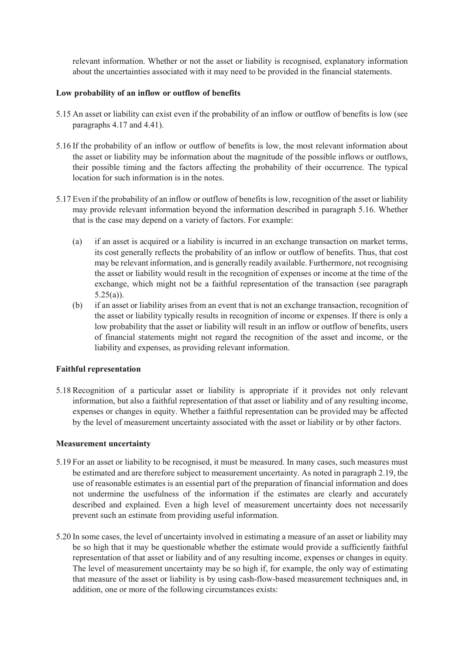relevant information. Whether or not the asset or liability is recognised, explanatory information about the uncertainties associated with it may need to be provided in the financial statements.

## Low probability of an inflow or outflow of benefits

- 5.15 An asset or liability can exist even if the probability of an inflow or outflow of benefits is low (see paragraphs 4.17 and 4.41).
- 5.16 If the probability of an inflow or outflow of benefits is low, the most relevant information about the asset or liability may be information about the magnitude of the possible inflows or outflows, their possible timing and the factors affecting the probability of their occurrence. The typical location for such information is in the notes.
- 5.17 Even if the probability of an inflow or outflow of benefits is low, recognition of the asset or liability may provide relevant information beyond the information described in paragraph 5.16. Whether that is the case may depend on a variety of factors. For example:
	- (a) if an asset is acquired or a liability is incurred in an exchange transaction on market terms, its cost generally reflects the probability of an inflow or outflow of benefits. Thus, that cost may be relevant information, and is generally readily available. Furthermore, not recognising the asset or liability would result in the recognition of expenses or income at the time of the exchange, which might not be a faithful representation of the transaction (see paragraph 5.25(a)).
	- (b) if an asset or liability arises from an event that is not an exchange transaction, recognition of the asset or liability typically results in recognition of income or expenses. If there is only a low probability that the asset or liability will result in an inflow or outflow of benefits, users of financial statements might not regard the recognition of the asset and income, or the liability and expenses, as providing relevant information.

## Faithful representation

5.18 Recognition of a particular asset or liability is appropriate if it provides not only relevant information, but also a faithful representation of that asset or liability and of any resulting income, expenses or changes in equity. Whether a faithful representation can be provided may be affected by the level of measurement uncertainty associated with the asset or liability or by other factors.

## Measurement uncertainty

- 5.19 For an asset or liability to be recognised, it must be measured. In many cases, such measures must be estimated and are therefore subject to measurement uncertainty. As noted in paragraph 2.19, the use of reasonable estimates is an essential part of the preparation of financial information and does not undermine the usefulness of the information if the estimates are clearly and accurately described and explained. Even a high level of measurement uncertainty does not necessarily prevent such an estimate from providing useful information.
- 5.20 In some cases, the level of uncertainty involved in estimating a measure of an asset or liability may be so high that it may be questionable whether the estimate would provide a sufficiently faithful representation of that asset or liability and of any resulting income, expenses or changes in equity. The level of measurement uncertainty may be so high if, for example, the only way of estimating that measure of the asset or liability is by using cash-flow-based measurement techniques and, in addition, one or more of the following circumstances exists: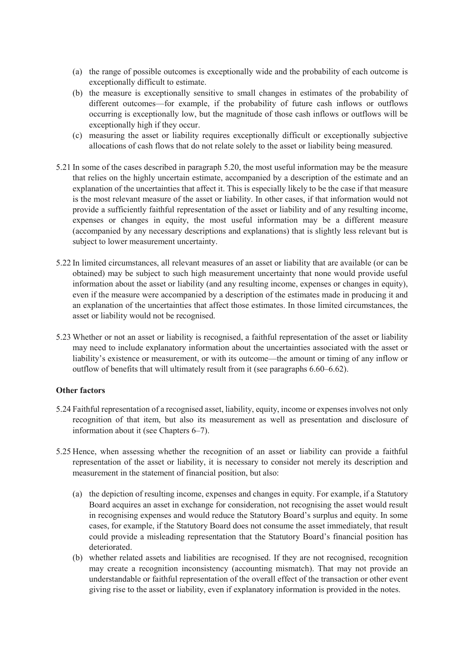- (a) the range of possible outcomes is exceptionally wide and the probability of each outcome is exceptionally difficult to estimate.
- (b) the measure is exceptionally sensitive to small changes in estimates of the probability of different outcomes—for example, if the probability of future cash inflows or outflows occurring is exceptionally low, but the magnitude of those cash inflows or outflows will be exceptionally high if they occur.
- (c) measuring the asset or liability requires exceptionally difficult or exceptionally subjective allocations of cash flows that do not relate solely to the asset or liability being measured.
- 5.21 In some of the cases described in paragraph 5.20, the most useful information may be the measure that relies on the highly uncertain estimate, accompanied by a description of the estimate and an explanation of the uncertainties that affect it. This is especially likely to be the case if that measure is the most relevant measure of the asset or liability. In other cases, if that information would not provide a sufficiently faithful representation of the asset or liability and of any resulting income, expenses or changes in equity, the most useful information may be a different measure (accompanied by any necessary descriptions and explanations) that is slightly less relevant but is subject to lower measurement uncertainty.
- 5.22 In limited circumstances, all relevant measures of an asset or liability that are available (or can be obtained) may be subject to such high measurement uncertainty that none would provide useful information about the asset or liability (and any resulting income, expenses or changes in equity), even if the measure were accompanied by a description of the estimates made in producing it and an explanation of the uncertainties that affect those estimates. In those limited circumstances, the asset or liability would not be recognised.
- 5.23 Whether or not an asset or liability is recognised, a faithful representation of the asset or liability may need to include explanatory information about the uncertainties associated with the asset or liability's existence or measurement, or with its outcome—the amount or timing of any inflow or outflow of benefits that will ultimately result from it (see paragraphs 6.60–6.62).

# Other factors

- 5.24 Faithful representation of a recognised asset, liability, equity, income or expenses involves not only recognition of that item, but also its measurement as well as presentation and disclosure of information about it (see Chapters 6–7).
- 5.25 Hence, when assessing whether the recognition of an asset or liability can provide a faithful representation of the asset or liability, it is necessary to consider not merely its description and measurement in the statement of financial position, but also:
	- (a) the depiction of resulting income, expenses and changes in equity. For example, if a Statutory Board acquires an asset in exchange for consideration, not recognising the asset would result in recognising expenses and would reduce the Statutory Board's surplus and equity. In some cases, for example, if the Statutory Board does not consume the asset immediately, that result could provide a misleading representation that the Statutory Board's financial position has deteriorated.
	- (b) whether related assets and liabilities are recognised. If they are not recognised, recognition may create a recognition inconsistency (accounting mismatch). That may not provide an understandable or faithful representation of the overall effect of the transaction or other event giving rise to the asset or liability, even if explanatory information is provided in the notes.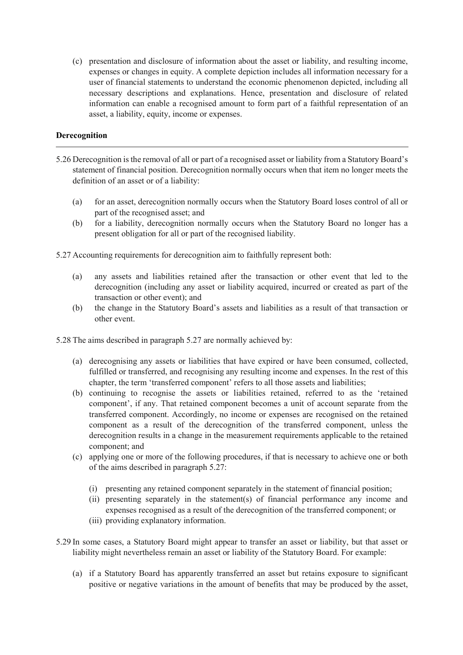(c) presentation and disclosure of information about the asset or liability, and resulting income, expenses or changes in equity. A complete depiction includes all information necessary for a user of financial statements to understand the economic phenomenon depicted, including all necessary descriptions and explanations. Hence, presentation and disclosure of related information can enable a recognised amount to form part of a faithful representation of an asset, a liability, equity, income or expenses.

# Derecognition

- 5.26 Derecognition is the removal of all or part of a recognised asset or liability from a Statutory Board's statement of financial position. Derecognition normally occurs when that item no longer meets the definition of an asset or of a liability:
	- (a) for an asset, derecognition normally occurs when the Statutory Board loses control of all or part of the recognised asset; and
	- (b) for a liability, derecognition normally occurs when the Statutory Board no longer has a present obligation for all or part of the recognised liability.
- 5.27 Accounting requirements for derecognition aim to faithfully represent both:
	- (a) any assets and liabilities retained after the transaction or other event that led to the derecognition (including any asset or liability acquired, incurred or created as part of the transaction or other event); and
	- (b) the change in the Statutory Board's assets and liabilities as a result of that transaction or other event.
- 5.28 The aims described in paragraph 5.27 are normally achieved by:
	- (a) derecognising any assets or liabilities that have expired or have been consumed, collected, fulfilled or transferred, and recognising any resulting income and expenses. In the rest of this chapter, the term 'transferred component' refers to all those assets and liabilities;
	- (b) continuing to recognise the assets or liabilities retained, referred to as the 'retained component', if any. That retained component becomes a unit of account separate from the transferred component. Accordingly, no income or expenses are recognised on the retained component as a result of the derecognition of the transferred component, unless the derecognition results in a change in the measurement requirements applicable to the retained component; and
	- (c) applying one or more of the following procedures, if that is necessary to achieve one or both of the aims described in paragraph 5.27:
		- (i) presenting any retained component separately in the statement of financial position;
		- (ii) presenting separately in the statement(s) of financial performance any income and expenses recognised as a result of the derecognition of the transferred component; or
		- (iii) providing explanatory information.
- 5.29 In some cases, a Statutory Board might appear to transfer an asset or liability, but that asset or liability might nevertheless remain an asset or liability of the Statutory Board. For example:
	- (a) if a Statutory Board has apparently transferred an asset but retains exposure to significant positive or negative variations in the amount of benefits that may be produced by the asset,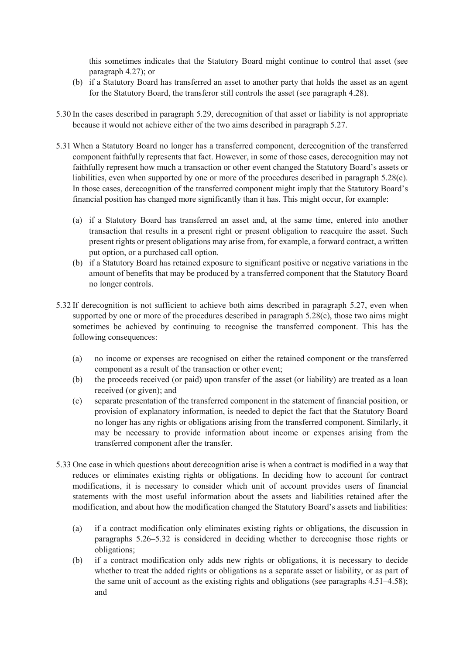this sometimes indicates that the Statutory Board might continue to control that asset (see paragraph 4.27); or

- (b) if a Statutory Board has transferred an asset to another party that holds the asset as an agent for the Statutory Board, the transferor still controls the asset (see paragraph 4.28).
- 5.30 In the cases described in paragraph 5.29, derecognition of that asset or liability is not appropriate because it would not achieve either of the two aims described in paragraph 5.27.
- 5.31 When a Statutory Board no longer has a transferred component, derecognition of the transferred component faithfully represents that fact. However, in some of those cases, derecognition may not faithfully represent how much a transaction or other event changed the Statutory Board's assets or liabilities, even when supported by one or more of the procedures described in paragraph 5.28(c). In those cases, derecognition of the transferred component might imply that the Statutory Board's financial position has changed more significantly than it has. This might occur, for example:
	- (a) if a Statutory Board has transferred an asset and, at the same time, entered into another transaction that results in a present right or present obligation to reacquire the asset. Such present rights or present obligations may arise from, for example, a forward contract, a written put option, or a purchased call option.
	- (b) if a Statutory Board has retained exposure to significant positive or negative variations in the amount of benefits that may be produced by a transferred component that the Statutory Board no longer controls.
- 5.32 If derecognition is not sufficient to achieve both aims described in paragraph 5.27, even when supported by one or more of the procedures described in paragraph 5.28(c), those two aims might sometimes be achieved by continuing to recognise the transferred component. This has the following consequences:
	- (a) no income or expenses are recognised on either the retained component or the transferred component as a result of the transaction or other event;
	- (b) the proceeds received (or paid) upon transfer of the asset (or liability) are treated as a loan received (or given); and
	- (c) separate presentation of the transferred component in the statement of financial position, or provision of explanatory information, is needed to depict the fact that the Statutory Board no longer has any rights or obligations arising from the transferred component. Similarly, it may be necessary to provide information about income or expenses arising from the transferred component after the transfer.
- 5.33 One case in which questions about derecognition arise is when a contract is modified in a way that reduces or eliminates existing rights or obligations. In deciding how to account for contract modifications, it is necessary to consider which unit of account provides users of financial statements with the most useful information about the assets and liabilities retained after the modification, and about how the modification changed the Statutory Board's assets and liabilities:
	- (a) if a contract modification only eliminates existing rights or obligations, the discussion in paragraphs 5.26–5.32 is considered in deciding whether to derecognise those rights or obligations;
	- (b) if a contract modification only adds new rights or obligations, it is necessary to decide whether to treat the added rights or obligations as a separate asset or liability, or as part of the same unit of account as the existing rights and obligations (see paragraphs 4.51–4.58); and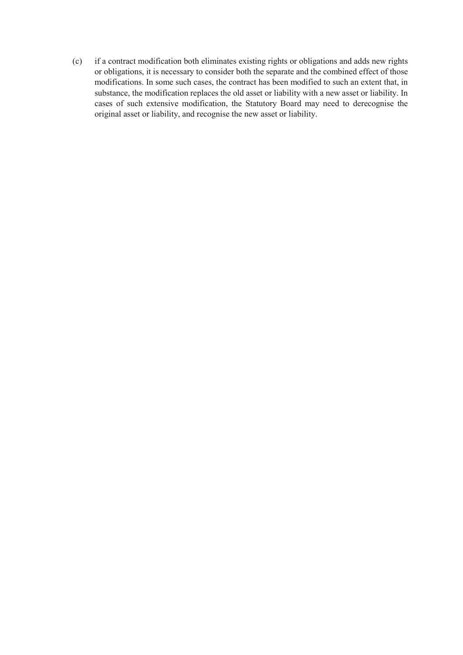(c) if a contract modification both eliminates existing rights or obligations and adds new rights or obligations, it is necessary to consider both the separate and the combined effect of those modifications. In some such cases, the contract has been modified to such an extent that, in substance, the modification replaces the old asset or liability with a new asset or liability. In cases of such extensive modification, the Statutory Board may need to derecognise the original asset or liability, and recognise the new asset or liability.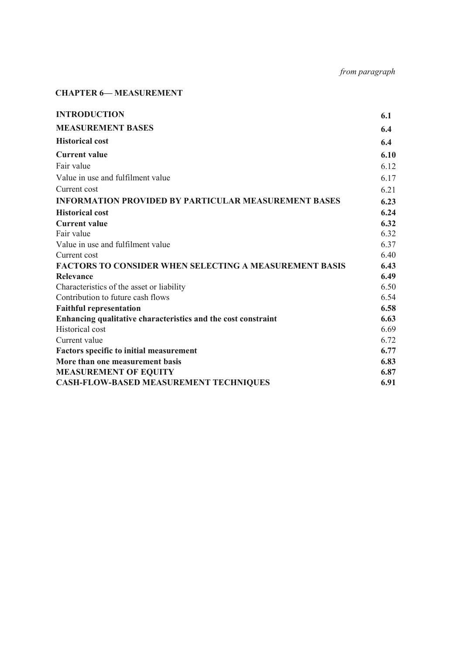# CHAPTER 6— MEASUREMENT

| <b>INTRODUCTION</b>                                           | 6.1  |
|---------------------------------------------------------------|------|
| <b>MEASUREMENT BASES</b>                                      | 6.4  |
| <b>Historical cost</b>                                        | 6.4  |
| <b>Current value</b>                                          | 6.10 |
| Fair value                                                    | 6.12 |
| Value in use and fulfilment value                             | 6.17 |
| Current cost                                                  | 6.21 |
| <b>INFORMATION PROVIDED BY PARTICULAR MEASUREMENT BASES</b>   | 6.23 |
| <b>Historical cost</b>                                        | 6.24 |
| <b>Current value</b>                                          | 6.32 |
| Fair value                                                    | 6.32 |
| Value in use and fulfilment value                             | 6.37 |
| Current cost                                                  | 6.40 |
| <b>FACTORS TO CONSIDER WHEN SELECTING A MEASUREMENT BASIS</b> | 6.43 |
| Relevance                                                     | 6.49 |
| Characteristics of the asset or liability                     | 6.50 |
| Contribution to future cash flows                             | 6.54 |
| <b>Faithful representation</b>                                | 6.58 |
| Enhancing qualitative characteristics and the cost constraint | 6.63 |
| Historical cost                                               | 6.69 |
| Current value                                                 | 6.72 |
| Factors specific to initial measurement                       | 6.77 |
| More than one measurement basis                               | 6.83 |
| <b>MEASUREMENT OF EQUITY</b>                                  | 6.87 |
| <b>CASH-FLOW-BASED MEASUREMENT TECHNIQUES</b>                 | 6.91 |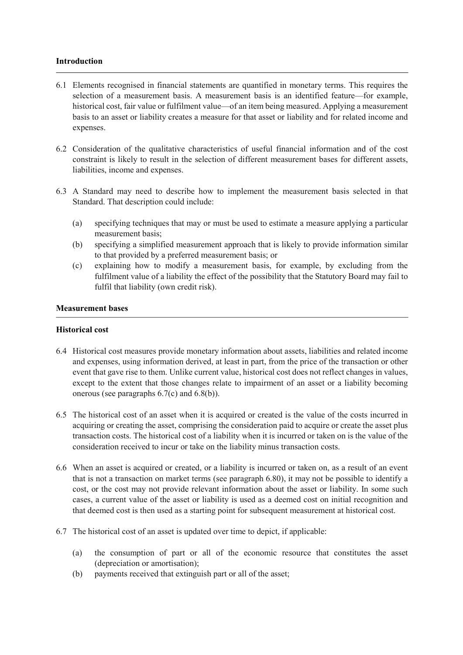## Introduction

- 6.1 Elements recognised in financial statements are quantified in monetary terms. This requires the selection of a measurement basis. A measurement basis is an identified feature—for example, historical cost, fair value or fulfilment value—of an item being measured. Applying a measurement basis to an asset or liability creates a measure for that asset or liability and for related income and expenses.
- 6.2 Consideration of the qualitative characteristics of useful financial information and of the cost constraint is likely to result in the selection of different measurement bases for different assets, liabilities, income and expenses.
- 6.3 A Standard may need to describe how to implement the measurement basis selected in that Standard. That description could include:
	- (a) specifying techniques that may or must be used to estimate a measure applying a particular measurement basis;
	- (b) specifying a simplified measurement approach that is likely to provide information similar to that provided by a preferred measurement basis; or
	- (c) explaining how to modify a measurement basis, for example, by excluding from the fulfilment value of a liability the effect of the possibility that the Statutory Board may fail to fulfil that liability (own credit risk).

## Measurement bases

## Historical cost

- 6.4 Historical cost measures provide monetary information about assets, liabilities and related income and expenses, using information derived, at least in part, from the price of the transaction or other event that gave rise to them. Unlike current value, historical cost does not reflect changes in values, except to the extent that those changes relate to impairment of an asset or a liability becoming onerous (see paragraphs 6.7(c) and 6.8(b)).
- 6.5 The historical cost of an asset when it is acquired or created is the value of the costs incurred in acquiring or creating the asset, comprising the consideration paid to acquire or create the asset plus transaction costs. The historical cost of a liability when it is incurred or taken on is the value of the consideration received to incur or take on the liability minus transaction costs.
- 6.6 When an asset is acquired or created, or a liability is incurred or taken on, as a result of an event that is not a transaction on market terms (see paragraph 6.80), it may not be possible to identify a cost, or the cost may not provide relevant information about the asset or liability. In some such cases, a current value of the asset or liability is used as a deemed cost on initial recognition and that deemed cost is then used as a starting point for subsequent measurement at historical cost.
- 6.7 The historical cost of an asset is updated over time to depict, if applicable:
	- (a) the consumption of part or all of the economic resource that constitutes the asset (depreciation or amortisation);
	- (b) payments received that extinguish part or all of the asset;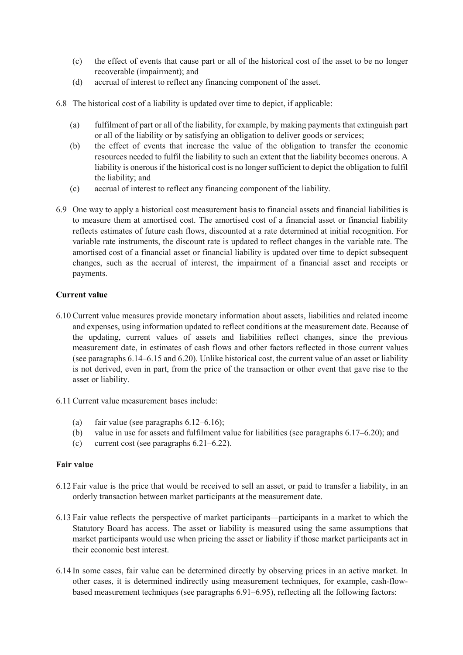- (c) the effect of events that cause part or all of the historical cost of the asset to be no longer recoverable (impairment); and
- (d) accrual of interest to reflect any financing component of the asset.
- 6.8 The historical cost of a liability is updated over time to depict, if applicable:
	- (a) fulfilment of part or all of the liability, for example, by making payments that extinguish part or all of the liability or by satisfying an obligation to deliver goods or services;
	- (b) the effect of events that increase the value of the obligation to transfer the economic resources needed to fulfil the liability to such an extent that the liability becomes onerous. A liability is onerous if the historical cost is no longer sufficient to depict the obligation to fulfil the liability; and
	- (c) accrual of interest to reflect any financing component of the liability.
- 6.9 One way to apply a historical cost measurement basis to financial assets and financial liabilities is to measure them at amortised cost. The amortised cost of a financial asset or financial liability reflects estimates of future cash flows, discounted at a rate determined at initial recognition. For variable rate instruments, the discount rate is updated to reflect changes in the variable rate. The amortised cost of a financial asset or financial liability is updated over time to depict subsequent changes, such as the accrual of interest, the impairment of a financial asset and receipts or payments.

# Current value

- 6.10 Current value measures provide monetary information about assets, liabilities and related income and expenses, using information updated to reflect conditions at the measurement date. Because of the updating, current values of assets and liabilities reflect changes, since the previous measurement date, in estimates of cash flows and other factors reflected in those current values (see paragraphs 6.14–6.15 and 6.20). Unlike historical cost, the current value of an asset or liability is not derived, even in part, from the price of the transaction or other event that gave rise to the asset or liability.
- 6.11 Current value measurement bases include:
	- (a) fair value (see paragraphs  $6.12-6.16$ );
	- (b) value in use for assets and fulfilment value for liabilities (see paragraphs 6.17–6.20); and
	- (c) current cost (see paragraphs 6.21–6.22).

## Fair value

- 6.12 Fair value is the price that would be received to sell an asset, or paid to transfer a liability, in an orderly transaction between market participants at the measurement date.
- 6.13 Fair value reflects the perspective of market participants—participants in a market to which the Statutory Board has access. The asset or liability is measured using the same assumptions that market participants would use when pricing the asset or liability if those market participants act in their economic best interest.
- 6.14 In some cases, fair value can be determined directly by observing prices in an active market. In other cases, it is determined indirectly using measurement techniques, for example, cash-flowbased measurement techniques (see paragraphs 6.91–6.95), reflecting all the following factors: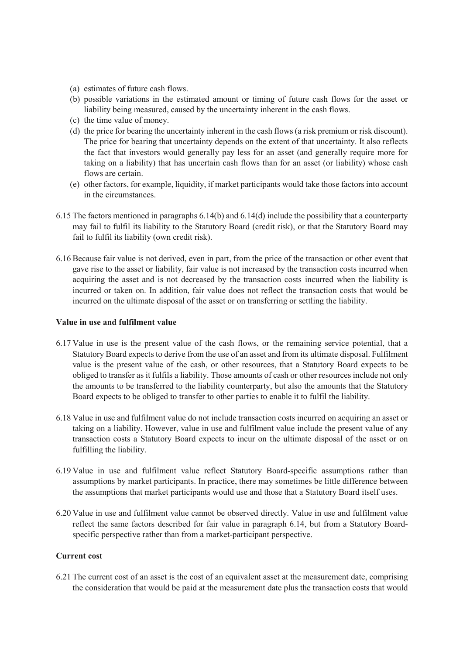- (a) estimates of future cash flows.
- (b) possible variations in the estimated amount or timing of future cash flows for the asset or liability being measured, caused by the uncertainty inherent in the cash flows.
- (c) the time value of money.
- (d) the price for bearing the uncertainty inherent in the cash flows (a risk premium or risk discount). The price for bearing that uncertainty depends on the extent of that uncertainty. It also reflects the fact that investors would generally pay less for an asset (and generally require more for taking on a liability) that has uncertain cash flows than for an asset (or liability) whose cash flows are certain.
- (e) other factors, for example, liquidity, if market participants would take those factors into account in the circumstances.
- 6.15 The factors mentioned in paragraphs 6.14(b) and 6.14(d) include the possibility that a counterparty may fail to fulfil its liability to the Statutory Board (credit risk), or that the Statutory Board may fail to fulfil its liability (own credit risk).
- 6.16 Because fair value is not derived, even in part, from the price of the transaction or other event that gave rise to the asset or liability, fair value is not increased by the transaction costs incurred when acquiring the asset and is not decreased by the transaction costs incurred when the liability is incurred or taken on. In addition, fair value does not reflect the transaction costs that would be incurred on the ultimate disposal of the asset or on transferring or settling the liability.

## Value in use and fulfilment value

- 6.17 Value in use is the present value of the cash flows, or the remaining service potential, that a Statutory Board expects to derive from the use of an asset and from its ultimate disposal. Fulfilment value is the present value of the cash, or other resources, that a Statutory Board expects to be obliged to transfer as it fulfils a liability. Those amounts of cash or other resources include not only the amounts to be transferred to the liability counterparty, but also the amounts that the Statutory Board expects to be obliged to transfer to other parties to enable it to fulfil the liability.
- 6.18 Value in use and fulfilment value do not include transaction costs incurred on acquiring an asset or taking on a liability. However, value in use and fulfilment value include the present value of any transaction costs a Statutory Board expects to incur on the ultimate disposal of the asset or on fulfilling the liability.
- 6.19 Value in use and fulfilment value reflect Statutory Board-specific assumptions rather than assumptions by market participants. In practice, there may sometimes be little difference between the assumptions that market participants would use and those that a Statutory Board itself uses.
- 6.20 Value in use and fulfilment value cannot be observed directly. Value in use and fulfilment value reflect the same factors described for fair value in paragraph 6.14, but from a Statutory Boardspecific perspective rather than from a market-participant perspective.

## Current cost

6.21 The current cost of an asset is the cost of an equivalent asset at the measurement date, comprising the consideration that would be paid at the measurement date plus the transaction costs that would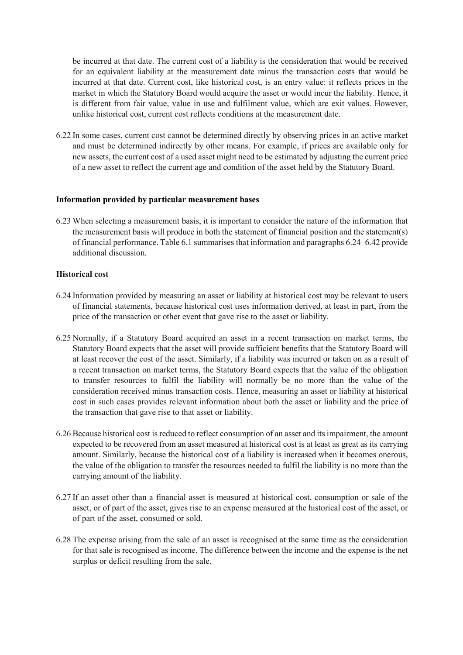be incurred at that date. The current cost of a liability is the consideration that would be received for an equivalent liability at the measurement date minus the transaction costs that would be incurred at that date. Current cost, like historical cost, is an entry value: it reflects prices in the market in which the Statutory Board would acquire the asset or would incur the liability. Hence, it is different from fair value, value in use and fulfilment value, which are exit values. However, unlike historical cost, current cost reflects conditions at the measurement date.

6.22 In some cases, current cost cannot be determined directly by observing prices in an active market and must be determined indirectly by other means. For example, if prices are available only for new assets, the current cost of a used asset might need to be estimated by adjusting the current price of a new asset to reflect the current age and condition of the asset held by the Statutory Board.

## Information provided by particular measurement bases

6.23 When selecting a measurement basis, it is important to consider the nature of the information that the measurement basis will produce in both the statement of financial position and the statement(s) of financial performance. Table 6.1 summarises that information and paragraphs 6.24–6.42 provide additional discussion.

## Historical cost

- 6.24 Information provided by measuring an asset or liability at historical cost may be relevant to users of financial statements, because historical cost uses information derived, at least in part, from the price of the transaction or other event that gave rise to the asset or liability.
- 6.25 Normally, if a Statutory Board acquired an asset in a recent transaction on market terms, the Statutory Board expects that the asset will provide sufficient benefits that the Statutory Board will at least recover the cost of the asset. Similarly, if a liability was incurred or taken on as a result of a recent transaction on market terms, the Statutory Board expects that the value of the obligation to transfer resources to fulfil the liability will normally be no more than the value of the consideration received minus transaction costs. Hence, measuring an asset or liability at historical cost in such cases provides relevant information about both the asset or liability and the price of the transaction that gave rise to that asset or liability.
- 6.26 Because historical cost is reduced to reflect consumption of an asset and its impairment, the amount expected to be recovered from an asset measured at historical cost is at least as great as its carrying amount. Similarly, because the historical cost of a liability is increased when it becomes onerous, the value of the obligation to transfer the resources needed to fulfil the liability is no more than the carrying amount of the liability.
- 6.27 If an asset other than a financial asset is measured at historical cost, consumption or sale of the asset, or of part of the asset, gives rise to an expense measured at the historical cost of the asset, or of part of the asset, consumed or sold.
- 6.28 The expense arising from the sale of an asset is recognised at the same time as the consideration for that sale is recognised as income. The difference between the income and the expense is the net surplus or deficit resulting from the sale.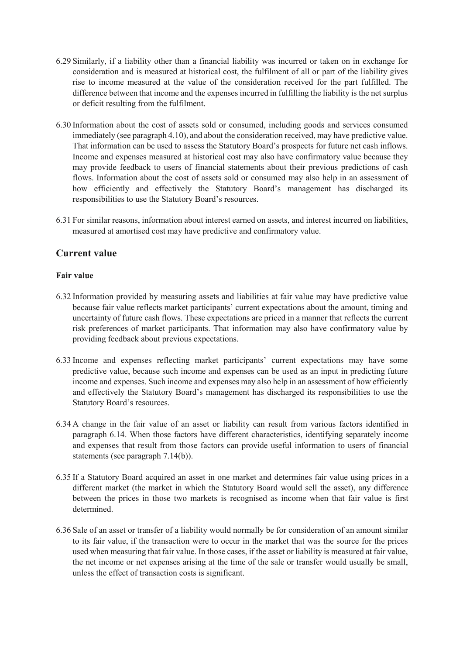- 6.29 Similarly, if a liability other than a financial liability was incurred or taken on in exchange for consideration and is measured at historical cost, the fulfilment of all or part of the liability gives rise to income measured at the value of the consideration received for the part fulfilled. The difference between that income and the expenses incurred in fulfilling the liability is the net surplus or deficit resulting from the fulfilment.
- 6.30 Information about the cost of assets sold or consumed, including goods and services consumed immediately (see paragraph 4.10), and about the consideration received, may have predictive value. That information can be used to assess the Statutory Board's prospects for future net cash inflows. Income and expenses measured at historical cost may also have confirmatory value because they may provide feedback to users of financial statements about their previous predictions of cash flows. Information about the cost of assets sold or consumed may also help in an assessment of how efficiently and effectively the Statutory Board's management has discharged its responsibilities to use the Statutory Board's resources.
- 6.31 For similar reasons, information about interest earned on assets, and interest incurred on liabilities, measured at amortised cost may have predictive and confirmatory value.

# Current value

## Fair value

- 6.32 Information provided by measuring assets and liabilities at fair value may have predictive value because fair value reflects market participants' current expectations about the amount, timing and uncertainty of future cash flows. These expectations are priced in a manner that reflects the current risk preferences of market participants. That information may also have confirmatory value by providing feedback about previous expectations.
- 6.33 Income and expenses reflecting market participants' current expectations may have some predictive value, because such income and expenses can be used as an input in predicting future income and expenses. Such income and expenses may also help in an assessment of how efficiently and effectively the Statutory Board's management has discharged its responsibilities to use the Statutory Board's resources.
- 6.34 A change in the fair value of an asset or liability can result from various factors identified in paragraph 6.14. When those factors have different characteristics, identifying separately income and expenses that result from those factors can provide useful information to users of financial statements (see paragraph 7.14(b)).
- 6.35 If a Statutory Board acquired an asset in one market and determines fair value using prices in a different market (the market in which the Statutory Board would sell the asset), any difference between the prices in those two markets is recognised as income when that fair value is first determined.
- 6.36 Sale of an asset or transfer of a liability would normally be for consideration of an amount similar to its fair value, if the transaction were to occur in the market that was the source for the prices used when measuring that fair value. In those cases, if the asset or liability is measured at fair value, the net income or net expenses arising at the time of the sale or transfer would usually be small, unless the effect of transaction costs is significant.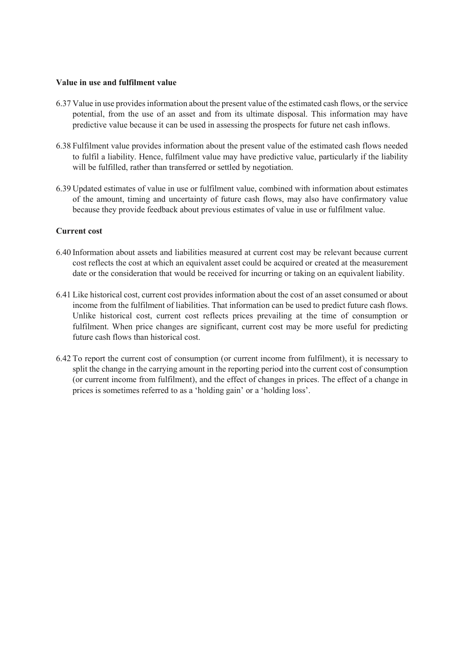# Value in use and fulfilment value

- 6.37 Value in use provides information about the present value of the estimated cash flows, or the service potential, from the use of an asset and from its ultimate disposal. This information may have predictive value because it can be used in assessing the prospects for future net cash inflows.
- 6.38 Fulfilment value provides information about the present value of the estimated cash flows needed to fulfil a liability. Hence, fulfilment value may have predictive value, particularly if the liability will be fulfilled, rather than transferred or settled by negotiation.
- 6.39 Updated estimates of value in use or fulfilment value, combined with information about estimates of the amount, timing and uncertainty of future cash flows, may also have confirmatory value because they provide feedback about previous estimates of value in use or fulfilment value.

## Current cost

- 6.40 Information about assets and liabilities measured at current cost may be relevant because current cost reflects the cost at which an equivalent asset could be acquired or created at the measurement date or the consideration that would be received for incurring or taking on an equivalent liability.
- 6.41 Like historical cost, current cost provides information about the cost of an asset consumed or about income from the fulfilment of liabilities. That information can be used to predict future cash flows. Unlike historical cost, current cost reflects prices prevailing at the time of consumption or fulfilment. When price changes are significant, current cost may be more useful for predicting future cash flows than historical cost.
- 6.42 To report the current cost of consumption (or current income from fulfilment), it is necessary to split the change in the carrying amount in the reporting period into the current cost of consumption (or current income from fulfilment), and the effect of changes in prices. The effect of a change in prices is sometimes referred to as a 'holding gain' or a 'holding loss'.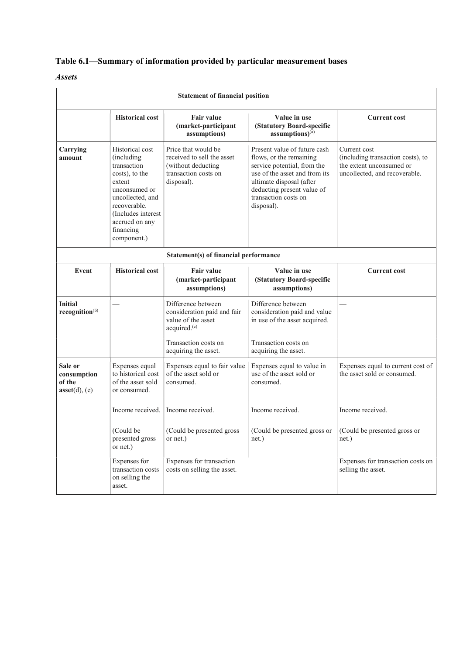# Table 6.1—Summary of information provided by particular measurement bases

# Assets

| <b>Statement of financial position</b>                      |                                                                                                                                                                                                     |                                                                                                                |                                                                                                                                                                                                                         |                                                                                                                |
|-------------------------------------------------------------|-----------------------------------------------------------------------------------------------------------------------------------------------------------------------------------------------------|----------------------------------------------------------------------------------------------------------------|-------------------------------------------------------------------------------------------------------------------------------------------------------------------------------------------------------------------------|----------------------------------------------------------------------------------------------------------------|
|                                                             | <b>Historical cost</b>                                                                                                                                                                              | Fair value<br>(market-participant<br>assumptions)                                                              | Value in use<br>(Statutory Board-specific<br>$assumptions)^{(\bar{a})}$                                                                                                                                                 | <b>Current cost</b>                                                                                            |
| Carrying<br>amount                                          | Historical cost<br>(including)<br>transaction<br>costs), to the<br>extent<br>unconsumed or<br>uncollected, and<br>recoverable.<br>(Includes interest)<br>accrued on any<br>financing<br>component.) | Price that would be<br>received to sell the asset<br>(without deducting)<br>transaction costs on<br>disposal). | Present value of future cash<br>flows, or the remaining<br>service potential, from the<br>use of the asset and from its<br>ultimate disposal (after<br>deducting present value of<br>transaction costs on<br>disposal). | Current cost<br>(including transaction costs), to<br>the extent unconsumed or<br>uncollected, and recoverable. |
|                                                             |                                                                                                                                                                                                     | Statement(s) of financial performance                                                                          |                                                                                                                                                                                                                         |                                                                                                                |
| Event                                                       | <b>Historical cost</b>                                                                                                                                                                              | <b>Fair value</b><br>(market-participant<br>assumptions)                                                       | Value in use<br>(Statutory Board-specific<br>assumptions)                                                                                                                                                               | <b>Current cost</b>                                                                                            |
| <b>Initial</b><br>recognition <sup>(b)</sup>                |                                                                                                                                                                                                     | Difference between<br>consideration paid and fair<br>value of the asset<br>acquired <sup>(c)</sup>             | Difference between<br>consideration paid and value<br>in use of the asset acquired.                                                                                                                                     |                                                                                                                |
|                                                             |                                                                                                                                                                                                     | Transaction costs on<br>acquiring the asset.                                                                   | Transaction costs on<br>acquiring the asset.                                                                                                                                                                            |                                                                                                                |
| Sale or<br>consumption<br>of the<br>$\text{asset}(d)$ , (e) | Expenses equal<br>to historical cost<br>of the asset sold<br>or consumed.                                                                                                                           | Expenses equal to fair value<br>of the asset sold or<br>consumed.                                              | Expenses equal to value in<br>use of the asset sold or<br>consumed.                                                                                                                                                     | Expenses equal to current cost of<br>the asset sold or consumed.                                               |
|                                                             | Income received.                                                                                                                                                                                    | Income received.                                                                                               | Income received.                                                                                                                                                                                                        | Income received.                                                                                               |
|                                                             | (Could be<br>presented gross<br>or net.)                                                                                                                                                            | (Could be presented gross)<br>or net.)                                                                         | (Could be presented gross or<br>net.)                                                                                                                                                                                   | (Could be presented gross or<br>net.)                                                                          |
|                                                             | Expenses for<br>transaction costs<br>on selling the<br>asset.                                                                                                                                       | Expenses for transaction<br>costs on selling the asset.                                                        |                                                                                                                                                                                                                         | Expenses for transaction costs on<br>selling the asset.                                                        |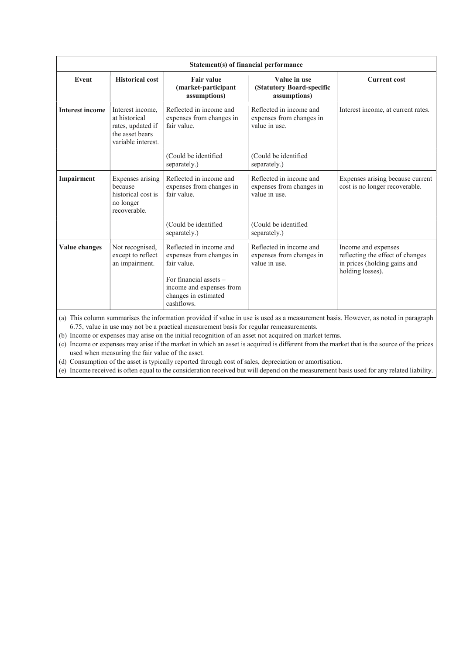| Statement(s) of financial performance |                                                                                                 |                                                                                                |                                                                      |                                                                                                             |
|---------------------------------------|-------------------------------------------------------------------------------------------------|------------------------------------------------------------------------------------------------|----------------------------------------------------------------------|-------------------------------------------------------------------------------------------------------------|
| Event                                 | <b>Historical cost</b>                                                                          | <b>Fair value</b><br>(market-participant<br>assumptions)                                       | Value in use<br>(Statutory Board-specific<br>assumptions)            | <b>Current cost</b>                                                                                         |
| <b>Interest income</b>                | Interest income,<br>at historical<br>rates, updated if<br>the asset bears<br>variable interest. | Reflected in income and<br>expenses from changes in<br>fair value.                             | Reflected in income and<br>expenses from changes in<br>value in use. | Interest income, at current rates.                                                                          |
|                                       |                                                                                                 | (Could be identified<br>separately.)                                                           | (Could be identified<br>separately.)                                 |                                                                                                             |
| Impairment                            | Expenses arising<br>because<br>historical cost is<br>no longer<br>recoverable.                  | Reflected in income and<br>expenses from changes in<br>fair value.                             | Reflected in income and<br>expenses from changes in<br>value in use. | Expenses arising because current<br>cost is no longer recoverable.                                          |
|                                       |                                                                                                 | (Could be identified<br>separately.)                                                           | (Could be identified<br>separately.)                                 |                                                                                                             |
| Value changes                         | Not recognised,<br>except to reflect<br>an impairment.                                          | Reflected in income and<br>expenses from changes in<br>fair value.<br>For financial assets $-$ | Reflected in income and<br>expenses from changes in<br>value in use. | Income and expenses<br>reflecting the effect of changes<br>in prices (holding gains and<br>holding losses). |
|                                       |                                                                                                 | income and expenses from<br>changes in estimated<br>cashflows.                                 |                                                                      |                                                                                                             |

(a) This column summarises the information provided if value in use is used as a measurement basis. However, as noted in paragraph 6.75, value in use may not be a practical measurement basis for regular remeasurements.

(b) Income or expenses may arise on the initial recognition of an asset not acquired on market terms.

(c) Income or expenses may arise if the market in which an asset is acquired is different from the market that is the source of the prices used when measuring the fair value of the asset.

(d) Consumption of the asset is typically reported through cost of sales, depreciation or amortisation.

(e) Income received is often equal to the consideration received but will depend on the measurement basis used for any related liability.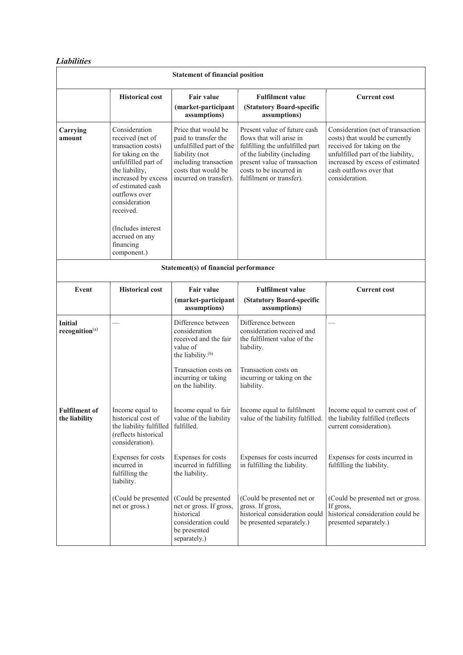## **Liabilities**

| <b>Statement of financial position</b>       |                                                                                                                                                                                                                  |                                                                                                                                                                    |                                                                                                                                                                                                                   |                                                                                                                                                                                                                          |  |  |
|----------------------------------------------|------------------------------------------------------------------------------------------------------------------------------------------------------------------------------------------------------------------|--------------------------------------------------------------------------------------------------------------------------------------------------------------------|-------------------------------------------------------------------------------------------------------------------------------------------------------------------------------------------------------------------|--------------------------------------------------------------------------------------------------------------------------------------------------------------------------------------------------------------------------|--|--|
|                                              | <b>Historical cost</b>                                                                                                                                                                                           | <b>Fair value</b><br>(market-participant<br>assumptions)                                                                                                           | <b>Fulfilment value</b><br>(Statutory Board-specific<br>assumptions)                                                                                                                                              | <b>Current cost</b>                                                                                                                                                                                                      |  |  |
| Carrying<br>amount                           | Consideration<br>received (net of<br>transaction costs)<br>for taking on the<br>unfulfilled part of<br>the liability,<br>increased by excess<br>of estimated cash<br>outflows over<br>consideration<br>received. | Price that would be<br>paid to transfer the<br>unfulfilled part of the<br>liability (not<br>including transaction<br>costs that would be<br>incurred on transfer). | Present value of future cash<br>flows that will arise in<br>fulfilling the unfulfilled part<br>of the liability (including<br>present value of transaction<br>costs to be incurred in<br>fulfilment or transfer). | Consideration (net of transaction<br>costs) that would be currently<br>received for taking on the<br>unfulfilled part of the liability,<br>increased by excess of estimated<br>cash outflows over that<br>consideration. |  |  |
|                                              | (Includes interest<br>accrued on any<br>financing<br>component.)                                                                                                                                                 |                                                                                                                                                                    |                                                                                                                                                                                                                   |                                                                                                                                                                                                                          |  |  |
|                                              | Statement(s) of financial performance                                                                                                                                                                            |                                                                                                                                                                    |                                                                                                                                                                                                                   |                                                                                                                                                                                                                          |  |  |
| Event                                        | <b>Historical cost</b>                                                                                                                                                                                           | <b>Fair value</b><br>(market-participant<br>assumptions)                                                                                                           | <b>Fulfilment value</b><br>(Statutory Board-specific<br>assumptions)                                                                                                                                              | <b>Current cost</b>                                                                                                                                                                                                      |  |  |
| <b>Initial</b><br>recognition <sup>(a)</sup> |                                                                                                                                                                                                                  | Difference between<br>consideration<br>received and the fair<br>value of<br>the liability. <sup>(b)</sup>                                                          | Difference between<br>consideration received and<br>the fulfilment value of the<br>liability.                                                                                                                     |                                                                                                                                                                                                                          |  |  |
|                                              |                                                                                                                                                                                                                  | Transaction costs on<br>incurring or taking<br>on the liability.                                                                                                   | Transaction costs on<br>incurring or taking on the<br>liability.                                                                                                                                                  |                                                                                                                                                                                                                          |  |  |
| <b>Fulfilment of</b><br>the liability        | Income equal to<br>historical cost of<br>the liability fulfilled<br>(reflects historical<br>consideration).                                                                                                      | Income equal to fair<br>value of the liability<br>fulfilled.                                                                                                       | Income equal to fulfilment<br>value of the liability fulfilled.                                                                                                                                                   | Income equal to current cost of<br>the liability fulfilled (reflects<br>current consideration).                                                                                                                          |  |  |
|                                              | Expenses for costs<br>incurred in<br>fulfilling the<br>liability.                                                                                                                                                | Expenses for costs<br>incurred in fulfilling<br>the liability.                                                                                                     | Expenses for costs incurred<br>in fulfilling the liability.                                                                                                                                                       | Expenses for costs incurred in<br>fulfilling the liability.                                                                                                                                                              |  |  |
|                                              | (Could be presented<br>net or gross.)                                                                                                                                                                            | (Could be presented<br>net or gross. If gross,<br>historical<br>consideration could<br>be presented<br>separately.)                                                | (Could be presented net or<br>gross. If gross,<br>historical consideration could<br>be presented separately.)                                                                                                     | (Could be presented net or gross.<br>If gross,<br>historical consideration could be<br>presented separately.)                                                                                                            |  |  |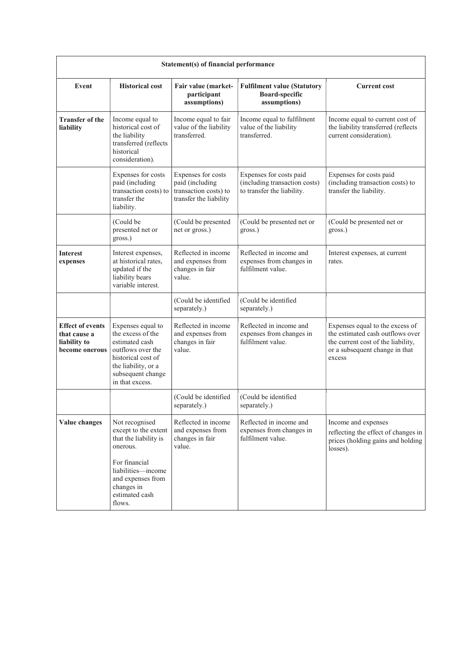| Statement(s) of financial performance                                     |                                                                                                                                                                                   |                                                                                          |                                                                                        |                                                                                                                                                       |
|---------------------------------------------------------------------------|-----------------------------------------------------------------------------------------------------------------------------------------------------------------------------------|------------------------------------------------------------------------------------------|----------------------------------------------------------------------------------------|-------------------------------------------------------------------------------------------------------------------------------------------------------|
| Event                                                                     | <b>Historical cost</b>                                                                                                                                                            | Fair value (market-<br>participant<br>assumptions)                                       | <b>Fulfilment value (Statutory</b><br><b>Board-specific</b><br>assumptions)            | <b>Current cost</b>                                                                                                                                   |
| <b>Transfer of the</b><br>liability                                       | Income equal to<br>historical cost of<br>the liability<br>transferred (reflects<br>historical<br>consideration).                                                                  | Income equal to fair<br>value of the liability<br>transferred.                           | Income equal to fulfilment<br>value of the liability<br>transferred.                   | Income equal to current cost of<br>the liability transferred (reflects<br>current consideration).                                                     |
|                                                                           | Expenses for costs<br>paid (including<br>transaction costs) to<br>transfer the<br>liability.                                                                                      | Expenses for costs<br>paid (including<br>transaction costs) to<br>transfer the liability | Expenses for costs paid<br>(including transaction costs)<br>to transfer the liability. | Expenses for costs paid<br>(including transaction costs) to<br>transfer the liability.                                                                |
|                                                                           | (Could be<br>presented net or<br>gross.)                                                                                                                                          | (Could be presented<br>net or gross.)                                                    | (Could be presented net or<br>gross.)                                                  | (Could be presented net or<br>gross.)                                                                                                                 |
| <b>Interest</b><br>expenses                                               | Interest expenses,<br>at historical rates,<br>updated if the<br>liability bears<br>variable interest.                                                                             | Reflected in income<br>and expenses from<br>changes in fair<br>value.                    | Reflected in income and<br>expenses from changes in<br>fulfilment value.               | Interest expenses, at current<br>rates.                                                                                                               |
|                                                                           |                                                                                                                                                                                   | (Could be identified<br>separately.)                                                     | (Could be identified<br>separately.)                                                   |                                                                                                                                                       |
| <b>Effect of events</b><br>that cause a<br>liability to<br>become onerous | Expenses equal to<br>the excess of the<br>estimated cash<br>outflows over the<br>historical cost of<br>the liability, or a<br>subsequent change<br>in that excess.                | Reflected in income<br>and expenses from<br>changes in fair<br>value.                    | Reflected in income and<br>expenses from changes in<br>fulfilment value.               | Expenses equal to the excess of<br>the estimated cash outflows over<br>the current cost of the liability,<br>or a subsequent change in that<br>excess |
|                                                                           |                                                                                                                                                                                   | (Could be identified<br>separately.)                                                     | (Could be identified<br>separately.)                                                   |                                                                                                                                                       |
| Value changes                                                             | Not recognised<br>except to the extent<br>that the liability is<br>onerous.<br>For financial<br>liabilities—income<br>and expenses from<br>changes in<br>estimated cash<br>flows. | Reflected in income<br>and expenses from<br>changes in fair<br>value.                    | Reflected in income and<br>expenses from changes in<br>fulfilment value.               | Income and expenses<br>reflecting the effect of changes in<br>prices (holding gains and holding<br>losses).                                           |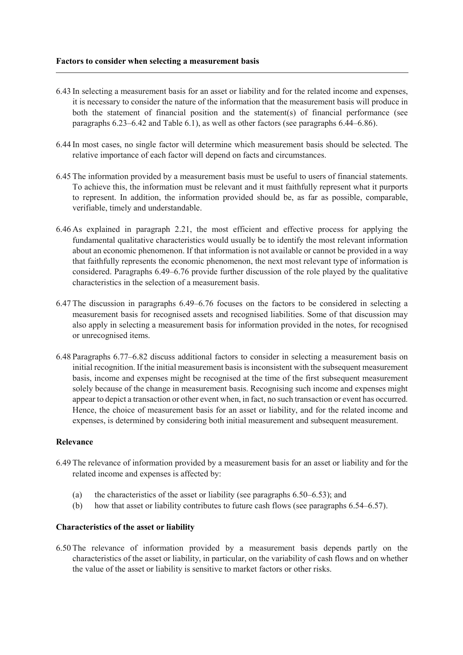#### Factors to consider when selecting a measurement basis

- 6.43 In selecting a measurement basis for an asset or liability and for the related income and expenses, it is necessary to consider the nature of the information that the measurement basis will produce in both the statement of financial position and the statement(s) of financial performance (see paragraphs 6.23–6.42 and Table 6.1), as well as other factors (see paragraphs 6.44–6.86).
- 6.44 In most cases, no single factor will determine which measurement basis should be selected. The relative importance of each factor will depend on facts and circumstances.
- 6.45 The information provided by a measurement basis must be useful to users of financial statements. To achieve this, the information must be relevant and it must faithfully represent what it purports to represent. In addition, the information provided should be, as far as possible, comparable, verifiable, timely and understandable.
- 6.46 As explained in paragraph 2.21, the most efficient and effective process for applying the fundamental qualitative characteristics would usually be to identify the most relevant information about an economic phenomenon. If that information is not available or cannot be provided in a way that faithfully represents the economic phenomenon, the next most relevant type of information is considered. Paragraphs 6.49–6.76 provide further discussion of the role played by the qualitative characteristics in the selection of a measurement basis.
- 6.47 The discussion in paragraphs 6.49–6.76 focuses on the factors to be considered in selecting a measurement basis for recognised assets and recognised liabilities. Some of that discussion may also apply in selecting a measurement basis for information provided in the notes, for recognised or unrecognised items.
- 6.48 Paragraphs 6.77–6.82 discuss additional factors to consider in selecting a measurement basis on initial recognition. If the initial measurement basis is inconsistent with the subsequent measurement basis, income and expenses might be recognised at the time of the first subsequent measurement solely because of the change in measurement basis. Recognising such income and expenses might appear to depict a transaction or other event when, in fact, no such transaction or event has occurred. Hence, the choice of measurement basis for an asset or liability, and for the related income and expenses, is determined by considering both initial measurement and subsequent measurement.

## Relevance

- 6.49 The relevance of information provided by a measurement basis for an asset or liability and for the related income and expenses is affected by:
	- (a) the characteristics of the asset or liability (see paragraphs 6.50–6.53); and
	- (b) how that asset or liability contributes to future cash flows (see paragraphs 6.54–6.57).

## Characteristics of the asset or liability

6.50 The relevance of information provided by a measurement basis depends partly on the characteristics of the asset or liability, in particular, on the variability of cash flows and on whether the value of the asset or liability is sensitive to market factors or other risks.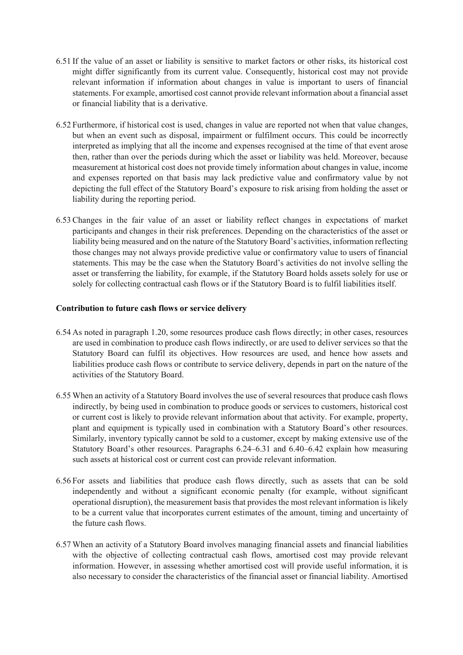- 6.51 If the value of an asset or liability is sensitive to market factors or other risks, its historical cost might differ significantly from its current value. Consequently, historical cost may not provide relevant information if information about changes in value is important to users of financial statements. For example, amortised cost cannot provide relevant information about a financial asset or financial liability that is a derivative.
- 6.52 Furthermore, if historical cost is used, changes in value are reported not when that value changes, but when an event such as disposal, impairment or fulfilment occurs. This could be incorrectly interpreted as implying that all the income and expenses recognised at the time of that event arose then, rather than over the periods during which the asset or liability was held. Moreover, because measurement at historical cost does not provide timely information about changes in value, income and expenses reported on that basis may lack predictive value and confirmatory value by not depicting the full effect of the Statutory Board's exposure to risk arising from holding the asset or liability during the reporting period.
- 6.53 Changes in the fair value of an asset or liability reflect changes in expectations of market participants and changes in their risk preferences. Depending on the characteristics of the asset or liability being measured and on the nature of the Statutory Board's activities, information reflecting those changes may not always provide predictive value or confirmatory value to users of financial statements. This may be the case when the Statutory Board's activities do not involve selling the asset or transferring the liability, for example, if the Statutory Board holds assets solely for use or solely for collecting contractual cash flows or if the Statutory Board is to fulfil liabilities itself.

## Contribution to future cash flows or service delivery

- 6.54 As noted in paragraph 1.20, some resources produce cash flows directly; in other cases, resources are used in combination to produce cash flows indirectly, or are used to deliver services so that the Statutory Board can fulfil its objectives. How resources are used, and hence how assets and liabilities produce cash flows or contribute to service delivery, depends in part on the nature of the activities of the Statutory Board.
- 6.55 When an activity of a Statutory Board involves the use of several resources that produce cash flows indirectly, by being used in combination to produce goods or services to customers, historical cost or current cost is likely to provide relevant information about that activity. For example, property, plant and equipment is typically used in combination with a Statutory Board's other resources. Similarly, inventory typically cannot be sold to a customer, except by making extensive use of the Statutory Board's other resources. Paragraphs 6.24–6.31 and 6.40–6.42 explain how measuring such assets at historical cost or current cost can provide relevant information.
- 6.56 For assets and liabilities that produce cash flows directly, such as assets that can be sold independently and without a significant economic penalty (for example, without significant operational disruption), the measurement basis that provides the most relevant information is likely to be a current value that incorporates current estimates of the amount, timing and uncertainty of the future cash flows.
- 6.57 When an activity of a Statutory Board involves managing financial assets and financial liabilities with the objective of collecting contractual cash flows, amortised cost may provide relevant information. However, in assessing whether amortised cost will provide useful information, it is also necessary to consider the characteristics of the financial asset or financial liability. Amortised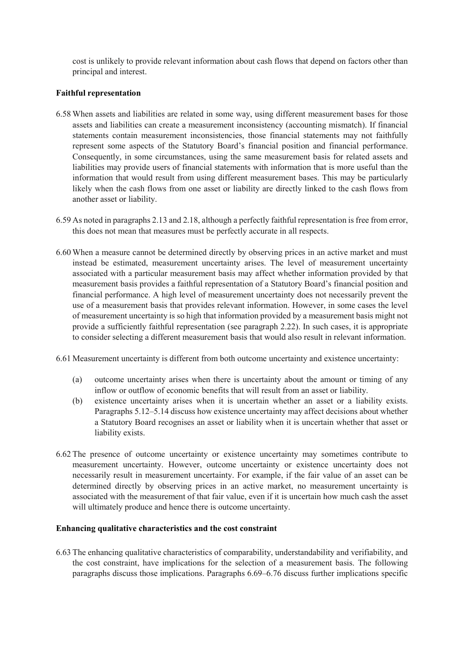cost is unlikely to provide relevant information about cash flows that depend on factors other than principal and interest.

## Faithful representation

- 6.58 When assets and liabilities are related in some way, using different measurement bases for those assets and liabilities can create a measurement inconsistency (accounting mismatch). If financial statements contain measurement inconsistencies, those financial statements may not faithfully represent some aspects of the Statutory Board's financial position and financial performance. Consequently, in some circumstances, using the same measurement basis for related assets and liabilities may provide users of financial statements with information that is more useful than the information that would result from using different measurement bases. This may be particularly likely when the cash flows from one asset or liability are directly linked to the cash flows from another asset or liability.
- 6.59 As noted in paragraphs 2.13 and 2.18, although a perfectly faithful representation is free from error, this does not mean that measures must be perfectly accurate in all respects.
- 6.60 When a measure cannot be determined directly by observing prices in an active market and must instead be estimated, measurement uncertainty arises. The level of measurement uncertainty associated with a particular measurement basis may affect whether information provided by that measurement basis provides a faithful representation of a Statutory Board's financial position and financial performance. A high level of measurement uncertainty does not necessarily prevent the use of a measurement basis that provides relevant information. However, in some cases the level of measurement uncertainty is so high that information provided by a measurement basis might not provide a sufficiently faithful representation (see paragraph 2.22). In such cases, it is appropriate to consider selecting a different measurement basis that would also result in relevant information.
- 6.61 Measurement uncertainty is different from both outcome uncertainty and existence uncertainty:
	- (a) outcome uncertainty arises when there is uncertainty about the amount or timing of any inflow or outflow of economic benefits that will result from an asset or liability.
	- (b) existence uncertainty arises when it is uncertain whether an asset or a liability exists. Paragraphs 5.12–5.14 discuss how existence uncertainty may affect decisions about whether a Statutory Board recognises an asset or liability when it is uncertain whether that asset or liability exists.
- 6.62 The presence of outcome uncertainty or existence uncertainty may sometimes contribute to measurement uncertainty. However, outcome uncertainty or existence uncertainty does not necessarily result in measurement uncertainty. For example, if the fair value of an asset can be determined directly by observing prices in an active market, no measurement uncertainty is associated with the measurement of that fair value, even if it is uncertain how much cash the asset will ultimately produce and hence there is outcome uncertainty.

## Enhancing qualitative characteristics and the cost constraint

6.63 The enhancing qualitative characteristics of comparability, understandability and verifiability, and the cost constraint, have implications for the selection of a measurement basis. The following paragraphs discuss those implications. Paragraphs 6.69–6.76 discuss further implications specific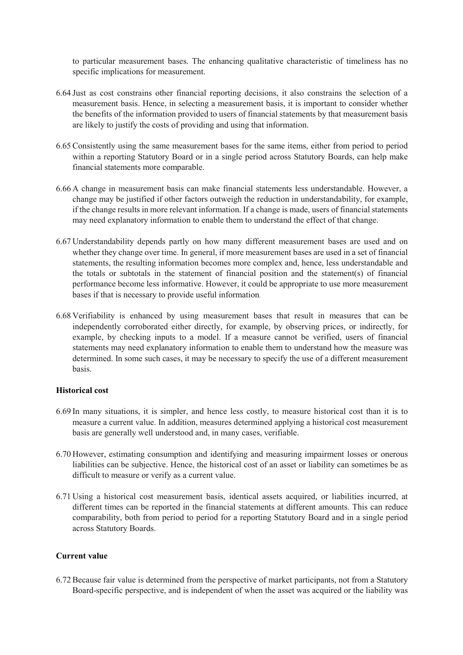to particular measurement bases. The enhancing qualitative characteristic of timeliness has no specific implications for measurement.

- 6.64 Just as cost constrains other financial reporting decisions, it also constrains the selection of a measurement basis. Hence, in selecting a measurement basis, it is important to consider whether the benefits of the information provided to users of financial statements by that measurement basis are likely to justify the costs of providing and using that information.
- 6.65 Consistently using the same measurement bases for the same items, either from period to period within a reporting Statutory Board or in a single period across Statutory Boards, can help make financial statements more comparable.
- 6.66 A change in measurement basis can make financial statements less understandable. However, a change may be justified if other factors outweigh the reduction in understandability, for example, if the change results in more relevant information. If a change is made, users of financial statements may need explanatory information to enable them to understand the effect of that change.
- 6.67 Understandability depends partly on how many different measurement bases are used and on whether they change over time. In general, if more measurement bases are used in a set of financial statements, the resulting information becomes more complex and, hence, less understandable and the totals or subtotals in the statement of financial position and the statement(s) of financial performance become less informative. However, it could be appropriate to use more measurement bases if that is necessary to provide useful information.
- 6.68 Verifiability is enhanced by using measurement bases that result in measures that can be independently corroborated either directly, for example, by observing prices, or indirectly, for example, by checking inputs to a model. If a measure cannot be verified, users of financial statements may need explanatory information to enable them to understand how the measure was determined. In some such cases, it may be necessary to specify the use of a different measurement basis.

# Historical cost

- 6.69 In many situations, it is simpler, and hence less costly, to measure historical cost than it is to measure a current value. In addition, measures determined applying a historical cost measurement basis are generally well understood and, in many cases, verifiable.
- 6.70 However, estimating consumption and identifying and measuring impairment losses or onerous liabilities can be subjective. Hence, the historical cost of an asset or liability can sometimes be as difficult to measure or verify as a current value.
- 6.71 Using a historical cost measurement basis, identical assets acquired, or liabilities incurred, at different times can be reported in the financial statements at different amounts. This can reduce comparability, both from period to period for a reporting Statutory Board and in a single period across Statutory Boards.

## Current value

6.72 Because fair value is determined from the perspective of market participants, not from a Statutory Board-specific perspective, and is independent of when the asset was acquired or the liability was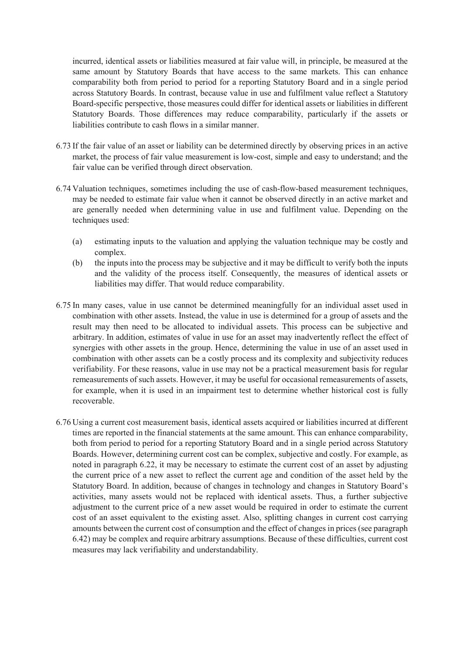incurred, identical assets or liabilities measured at fair value will, in principle, be measured at the same amount by Statutory Boards that have access to the same markets. This can enhance comparability both from period to period for a reporting Statutory Board and in a single period across Statutory Boards. In contrast, because value in use and fulfilment value reflect a Statutory Board-specific perspective, those measures could differ for identical assets or liabilities in different Statutory Boards. Those differences may reduce comparability, particularly if the assets or liabilities contribute to cash flows in a similar manner.

- 6.73 If the fair value of an asset or liability can be determined directly by observing prices in an active market, the process of fair value measurement is low-cost, simple and easy to understand; and the fair value can be verified through direct observation.
- 6.74 Valuation techniques, sometimes including the use of cash-flow-based measurement techniques, may be needed to estimate fair value when it cannot be observed directly in an active market and are generally needed when determining value in use and fulfilment value. Depending on the techniques used:
	- (a) estimating inputs to the valuation and applying the valuation technique may be costly and complex.
	- (b) the inputs into the process may be subjective and it may be difficult to verify both the inputs and the validity of the process itself. Consequently, the measures of identical assets or liabilities may differ. That would reduce comparability.
- 6.75 In many cases, value in use cannot be determined meaningfully for an individual asset used in combination with other assets. Instead, the value in use is determined for a group of assets and the result may then need to be allocated to individual assets. This process can be subjective and arbitrary. In addition, estimates of value in use for an asset may inadvertently reflect the effect of synergies with other assets in the group. Hence, determining the value in use of an asset used in combination with other assets can be a costly process and its complexity and subjectivity reduces verifiability. For these reasons, value in use may not be a practical measurement basis for regular remeasurements of such assets. However, it may be useful for occasional remeasurements of assets, for example, when it is used in an impairment test to determine whether historical cost is fully recoverable.
- 6.76 Using a current cost measurement basis, identical assets acquired or liabilities incurred at different times are reported in the financial statements at the same amount. This can enhance comparability, both from period to period for a reporting Statutory Board and in a single period across Statutory Boards. However, determining current cost can be complex, subjective and costly. For example, as noted in paragraph 6.22, it may be necessary to estimate the current cost of an asset by adjusting the current price of a new asset to reflect the current age and condition of the asset held by the Statutory Board. In addition, because of changes in technology and changes in Statutory Board's activities, many assets would not be replaced with identical assets. Thus, a further subjective adjustment to the current price of a new asset would be required in order to estimate the current cost of an asset equivalent to the existing asset. Also, splitting changes in current cost carrying amounts between the current cost of consumption and the effect of changes in prices (see paragraph 6.42) may be complex and require arbitrary assumptions. Because of these difficulties, current cost measures may lack verifiability and understandability.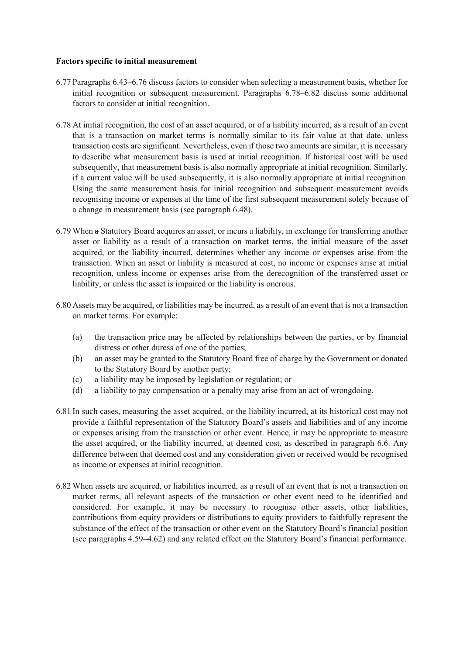## Factors specific to initial measurement

- 6.77 Paragraphs 6.43–6.76 discuss factors to consider when selecting a measurement basis, whether for initial recognition or subsequent measurement. Paragraphs 6.78–6.82 discuss some additional factors to consider at initial recognition.
- 6.78 At initial recognition, the cost of an asset acquired, or of a liability incurred, as a result of an event that is a transaction on market terms is normally similar to its fair value at that date, unless transaction costs are significant. Nevertheless, even if those two amounts are similar, it is necessary to describe what measurement basis is used at initial recognition. If historical cost will be used subsequently, that measurement basis is also normally appropriate at initial recognition. Similarly, if a current value will be used subsequently, it is also normally appropriate at initial recognition. Using the same measurement basis for initial recognition and subsequent measurement avoids recognising income or expenses at the time of the first subsequent measurement solely because of a change in measurement basis (see paragraph 6.48).
- 6.79 When a Statutory Board acquires an asset, or incurs a liability, in exchange for transferring another asset or liability as a result of a transaction on market terms, the initial measure of the asset acquired, or the liability incurred, determines whether any income or expenses arise from the transaction. When an asset or liability is measured at cost, no income or expenses arise at initial recognition, unless income or expenses arise from the derecognition of the transferred asset or liability, or unless the asset is impaired or the liability is onerous.
- 6.80 Assets may be acquired, or liabilities may be incurred, as a result of an event that is not a transaction on market terms. For example:
	- (a) the transaction price may be affected by relationships between the parties, or by financial distress or other duress of one of the parties;
	- (b) an asset may be granted to the Statutory Board free of charge by the Government or donated to the Statutory Board by another party;
	- (c) a liability may be imposed by legislation or regulation; or
	- (d) a liability to pay compensation or a penalty may arise from an act of wrongdoing.
- 6.81 In such cases, measuring the asset acquired, or the liability incurred, at its historical cost may not provide a faithful representation of the Statutory Board's assets and liabilities and of any income or expenses arising from the transaction or other event. Hence, it may be appropriate to measure the asset acquired, or the liability incurred, at deemed cost, as described in paragraph 6.6. Any difference between that deemed cost and any consideration given or received would be recognised as income or expenses at initial recognition.
- 6.82 When assets are acquired, or liabilities incurred, as a result of an event that is not a transaction on market terms, all relevant aspects of the transaction or other event need to be identified and considered. For example, it may be necessary to recognise other assets, other liabilities, contributions from equity providers or distributions to equity providers to faithfully represent the substance of the effect of the transaction or other event on the Statutory Board's financial position (see paragraphs 4.59–4.62) and any related effect on the Statutory Board's financial performance.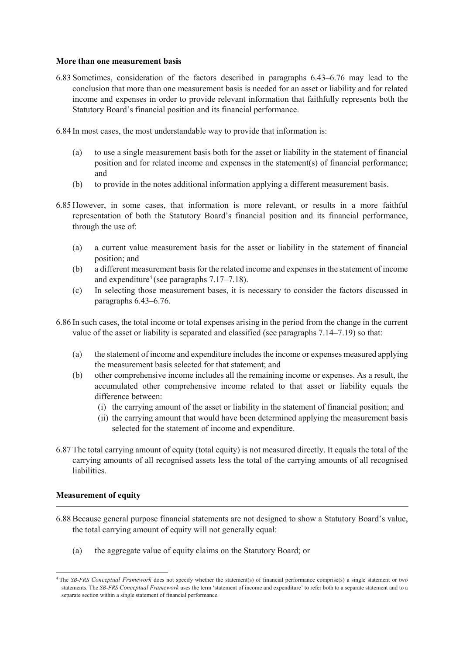#### More than one measurement basis

6.83 Sometimes, consideration of the factors described in paragraphs 6.43–6.76 may lead to the conclusion that more than one measurement basis is needed for an asset or liability and for related income and expenses in order to provide relevant information that faithfully represents both the Statutory Board's financial position and its financial performance.

6.84 In most cases, the most understandable way to provide that information is:

- (a) to use a single measurement basis both for the asset or liability in the statement of financial position and for related income and expenses in the statement(s) of financial performance; and
- (b) to provide in the notes additional information applying a different measurement basis.
- 6.85 However, in some cases, that information is more relevant, or results in a more faithful representation of both the Statutory Board's financial position and its financial performance, through the use of:
	- (a) a current value measurement basis for the asset or liability in the statement of financial position; and
	- (b) a different measurement basis for the related income and expenses in the statement of income and expenditure<sup>4</sup> (see paragraphs  $7.17-7.18$ ).
	- (c) In selecting those measurement bases, it is necessary to consider the factors discussed in paragraphs 6.43–6.76.
- 6.86 In such cases, the total income or total expenses arising in the period from the change in the current value of the asset or liability is separated and classified (see paragraphs 7.14–7.19) so that:
	- (a) the statement of income and expenditure includes the income or expenses measured applying the measurement basis selected for that statement; and
	- (b) other comprehensive income includes all the remaining income or expenses. As a result, the accumulated other comprehensive income related to that asset or liability equals the difference between:
		- (i) the carrying amount of the asset or liability in the statement of financial position; and
		- (ii) the carrying amount that would have been determined applying the measurement basis selected for the statement of income and expenditure.
- 6.87 The total carrying amount of equity (total equity) is not measured directly. It equals the total of the carrying amounts of all recognised assets less the total of the carrying amounts of all recognised liabilities.

## Measurement of equity

-

- 6.88 Because general purpose financial statements are not designed to show a Statutory Board's value, the total carrying amount of equity will not generally equal:
	- (a) the aggregate value of equity claims on the Statutory Board; or

<sup>&</sup>lt;sup>4</sup> The SB-FRS Conceptual Framework does not specify whether the statement(s) of financial performance comprise(s) a single statement or two statements. The SB-FRS Conceptual Framework uses the term 'statement of income and expenditure' to refer both to a separate statement and to a separate section within a single statement of financial performance.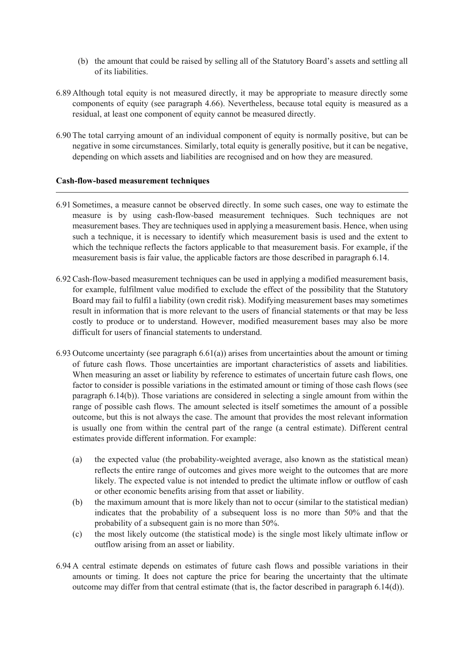- (b) the amount that could be raised by selling all of the Statutory Board's assets and settling all of its liabilities.
- 6.89 Although total equity is not measured directly, it may be appropriate to measure directly some components of equity (see paragraph 4.66). Nevertheless, because total equity is measured as a residual, at least one component of equity cannot be measured directly.
- 6.90 The total carrying amount of an individual component of equity is normally positive, but can be negative in some circumstances. Similarly, total equity is generally positive, but it can be negative, depending on which assets and liabilities are recognised and on how they are measured.

#### Cash-flow-based measurement techniques

- 6.91 Sometimes, a measure cannot be observed directly. In some such cases, one way to estimate the measure is by using cash-flow-based measurement techniques. Such techniques are not measurement bases. They are techniques used in applying a measurement basis. Hence, when using such a technique, it is necessary to identify which measurement basis is used and the extent to which the technique reflects the factors applicable to that measurement basis. For example, if the measurement basis is fair value, the applicable factors are those described in paragraph 6.14.
- 6.92 Cash-flow-based measurement techniques can be used in applying a modified measurement basis, for example, fulfilment value modified to exclude the effect of the possibility that the Statutory Board may fail to fulfil a liability (own credit risk). Modifying measurement bases may sometimes result in information that is more relevant to the users of financial statements or that may be less costly to produce or to understand. However, modified measurement bases may also be more difficult for users of financial statements to understand.
- 6.93 Outcome uncertainty (see paragraph 6.61(a)) arises from uncertainties about the amount or timing of future cash flows. Those uncertainties are important characteristics of assets and liabilities. When measuring an asset or liability by reference to estimates of uncertain future cash flows, one factor to consider is possible variations in the estimated amount or timing of those cash flows (see paragraph 6.14(b)). Those variations are considered in selecting a single amount from within the range of possible cash flows. The amount selected is itself sometimes the amount of a possible outcome, but this is not always the case. The amount that provides the most relevant information is usually one from within the central part of the range (a central estimate). Different central estimates provide different information. For example:
	- (a) the expected value (the probability-weighted average, also known as the statistical mean) reflects the entire range of outcomes and gives more weight to the outcomes that are more likely. The expected value is not intended to predict the ultimate inflow or outflow of cash or other economic benefits arising from that asset or liability.
	- (b) the maximum amount that is more likely than not to occur (similar to the statistical median) indicates that the probability of a subsequent loss is no more than 50% and that the probability of a subsequent gain is no more than 50%.
	- (c) the most likely outcome (the statistical mode) is the single most likely ultimate inflow or outflow arising from an asset or liability.
- 6.94 A central estimate depends on estimates of future cash flows and possible variations in their amounts or timing. It does not capture the price for bearing the uncertainty that the ultimate outcome may differ from that central estimate (that is, the factor described in paragraph 6.14(d)).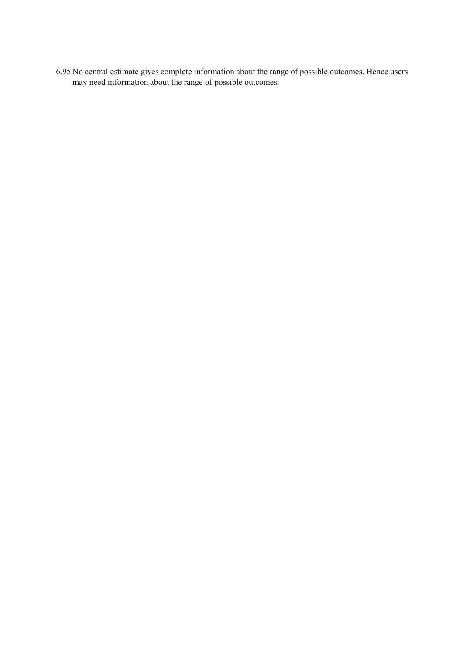6.95 No central estimate gives complete information about the range of possible outcomes. Hence users may need information about the range of possible outcomes.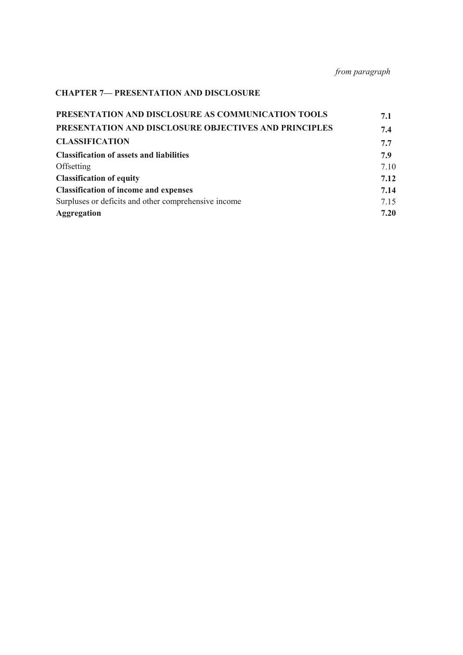# CHAPTER 7— PRESENTATION AND DISCLOSURE

| PRESENTATION AND DISCLOSURE AS COMMUNICATION TOOLS    | 7.1  |
|-------------------------------------------------------|------|
| PRESENTATION AND DISCLOSURE OBJECTIVES AND PRINCIPLES | 7.4  |
| <b>CLASSIFICATION</b>                                 | 7.7  |
| <b>Classification of assets and liabilities</b>       | 7.9  |
| Offsetting                                            | 7.10 |
| <b>Classification of equity</b>                       | 7.12 |
| <b>Classification of income and expenses</b>          | 7.14 |
| Surpluses or deficits and other comprehensive income  | 7.15 |
| Aggregation                                           | 7.20 |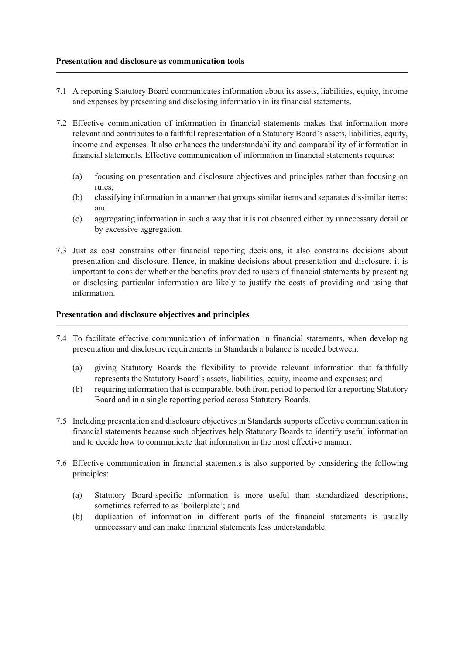- 7.1 A reporting Statutory Board communicates information about its assets, liabilities, equity, income and expenses by presenting and disclosing information in its financial statements.
- 7.2 Effective communication of information in financial statements makes that information more relevant and contributes to a faithful representation of a Statutory Board's assets, liabilities, equity, income and expenses. It also enhances the understandability and comparability of information in financial statements. Effective communication of information in financial statements requires:
	- (a) focusing on presentation and disclosure objectives and principles rather than focusing on rules;
	- (b) classifying information in a manner that groups similar items and separates dissimilar items; and
	- (c) aggregating information in such a way that it is not obscured either by unnecessary detail or by excessive aggregation.
- 7.3 Just as cost constrains other financial reporting decisions, it also constrains decisions about presentation and disclosure. Hence, in making decisions about presentation and disclosure, it is important to consider whether the benefits provided to users of financial statements by presenting or disclosing particular information are likely to justify the costs of providing and using that information.

## Presentation and disclosure objectives and principles

- 7.4 To facilitate effective communication of information in financial statements, when developing presentation and disclosure requirements in Standards a balance is needed between:
	- (a) giving Statutory Boards the flexibility to provide relevant information that faithfully represents the Statutory Board's assets, liabilities, equity, income and expenses; and
	- (b) requiring information that is comparable, both from period to period for a reporting Statutory Board and in a single reporting period across Statutory Boards.
- 7.5 Including presentation and disclosure objectives in Standards supports effective communication in financial statements because such objectives help Statutory Boards to identify useful information and to decide how to communicate that information in the most effective manner.
- 7.6 Effective communication in financial statements is also supported by considering the following principles:
	- (a) Statutory Board-specific information is more useful than standardized descriptions, sometimes referred to as 'boilerplate'; and
	- (b) duplication of information in different parts of the financial statements is usually unnecessary and can make financial statements less understandable.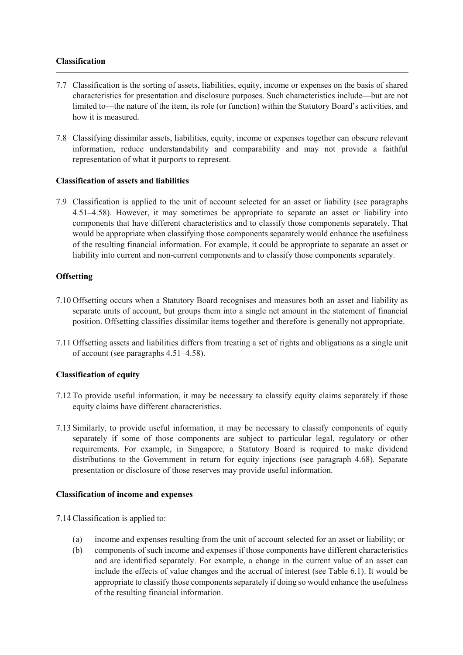# Classification

- 7.7 Classification is the sorting of assets, liabilities, equity, income or expenses on the basis of shared characteristics for presentation and disclosure purposes. Such characteristics include—but are not limited to—the nature of the item, its role (or function) within the Statutory Board's activities, and how it is measured.
- 7.8 Classifying dissimilar assets, liabilities, equity, income or expenses together can obscure relevant information, reduce understandability and comparability and may not provide a faithful representation of what it purports to represent.

## Classification of assets and liabilities

7.9 Classification is applied to the unit of account selected for an asset or liability (see paragraphs 4.51–4.58). However, it may sometimes be appropriate to separate an asset or liability into components that have different characteristics and to classify those components separately. That would be appropriate when classifying those components separately would enhance the usefulness of the resulting financial information. For example, it could be appropriate to separate an asset or liability into current and non-current components and to classify those components separately.

## **Offsetting**

- 7.10 Offsetting occurs when a Statutory Board recognises and measures both an asset and liability as separate units of account, but groups them into a single net amount in the statement of financial position. Offsetting classifies dissimilar items together and therefore is generally not appropriate.
- 7.11 Offsetting assets and liabilities differs from treating a set of rights and obligations as a single unit of account (see paragraphs 4.51–4.58).

## Classification of equity

- 7.12 To provide useful information, it may be necessary to classify equity claims separately if those equity claims have different characteristics.
- 7.13 Similarly, to provide useful information, it may be necessary to classify components of equity separately if some of those components are subject to particular legal, regulatory or other requirements. For example, in Singapore, a Statutory Board is required to make dividend distributions to the Government in return for equity injections (see paragraph 4.68). Separate presentation or disclosure of those reserves may provide useful information.

## Classification of income and expenses

7.14 Classification is applied to:

- (a) income and expenses resulting from the unit of account selected for an asset or liability; or
- (b) components of such income and expenses if those components have different characteristics and are identified separately. For example, a change in the current value of an asset can include the effects of value changes and the accrual of interest (see Table 6.1). It would be appropriate to classify those components separately if doing so would enhance the usefulness of the resulting financial information.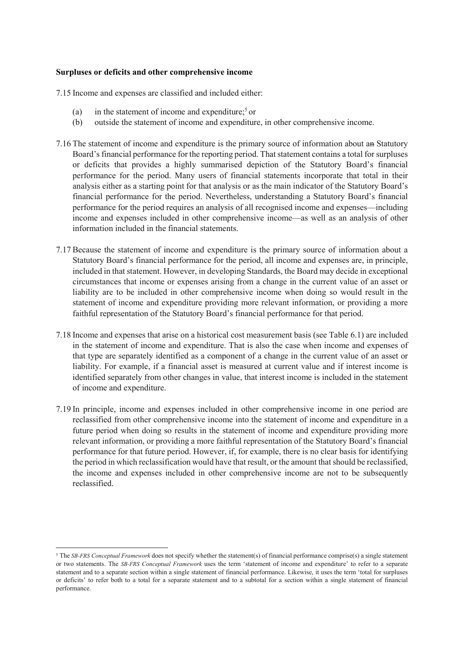#### Surpluses or deficits and other comprehensive income

7.15 Income and expenses are classified and included either:

- (a) in the statement of income and expenditure;<sup>5</sup> or
- (b) outside the statement of income and expenditure, in other comprehensive income.
- 7.16 The statement of income and expenditure is the primary source of information about an Statutory Board's financial performance for the reporting period. That statement contains a total for surpluses or deficits that provides a highly summarised depiction of the Statutory Board's financial performance for the period. Many users of financial statements incorporate that total in their analysis either as a starting point for that analysis or as the main indicator of the Statutory Board's financial performance for the period. Nevertheless, understanding a Statutory Board's financial performance for the period requires an analysis of all recognised income and expenses—including income and expenses included in other comprehensive income—as well as an analysis of other information included in the financial statements.
- 7.17 Because the statement of income and expenditure is the primary source of information about a Statutory Board's financial performance for the period, all income and expenses are, in principle, included in that statement. However, in developing Standards, the Board may decide in exceptional circumstances that income or expenses arising from a change in the current value of an asset or liability are to be included in other comprehensive income when doing so would result in the statement of income and expenditure providing more relevant information, or providing a more faithful representation of the Statutory Board's financial performance for that period.
- 7.18 Income and expenses that arise on a historical cost measurement basis (see Table 6.1) are included in the statement of income and expenditure. That is also the case when income and expenses of that type are separately identified as a component of a change in the current value of an asset or liability. For example, if a financial asset is measured at current value and if interest income is identified separately from other changes in value, that interest income is included in the statement of income and expenditure.
- 7.19 In principle, income and expenses included in other comprehensive income in one period are reclassified from other comprehensive income into the statement of income and expenditure in a future period when doing so results in the statement of income and expenditure providing more relevant information, or providing a more faithful representation of the Statutory Board's financial performance for that future period. However, if, for example, there is no clear basis for identifying the period in which reclassification would have that result, or the amount that should be reclassified, the income and expenses included in other comprehensive income are not to be subsequently reclassified.

-

 $5$  The *SB-FRS Conceptual Framework* does not specify whether the statement(s) of financial performance comprise(s) a single statement or two statements. The SB-FRS Conceptual Framework uses the term 'statement of income and expenditure' to refer to a separate statement and to a separate section within a single statement of financial performance. Likewise, it uses the term 'total for surpluses or deficits' to refer both to a total for a separate statement and to a subtotal for a section within a single statement of financial performance.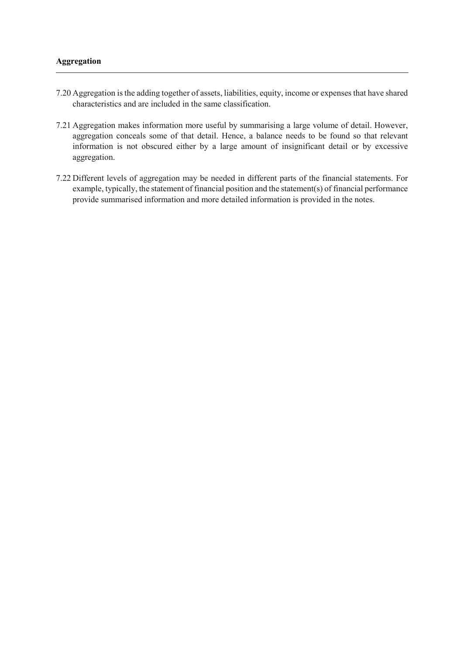- 7.20 Aggregation is the adding together of assets, liabilities, equity, income or expenses that have shared characteristics and are included in the same classification.
- 7.21 Aggregation makes information more useful by summarising a large volume of detail. However, aggregation conceals some of that detail. Hence, a balance needs to be found so that relevant information is not obscured either by a large amount of insignificant detail or by excessive aggregation.
- 7.22 Different levels of aggregation may be needed in different parts of the financial statements. For example, typically, the statement of financial position and the statement(s) of financial performance provide summarised information and more detailed information is provided in the notes.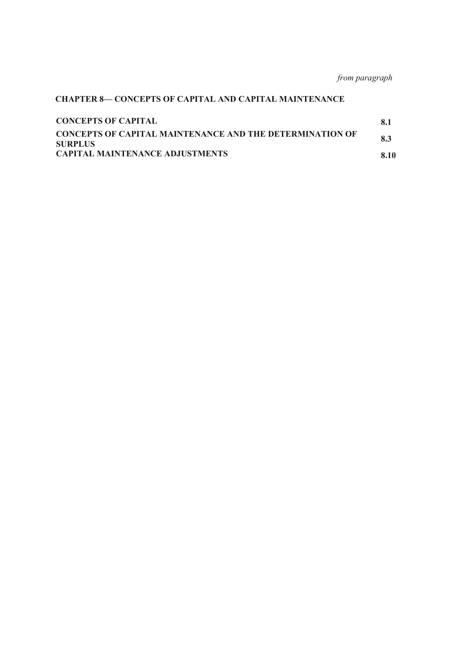# CHAPTER 8— CONCEPTS OF CAPITAL AND CAPITAL MAINTENANCE

| <b>CONCEPTS OF CAPITAL</b>                                                        | 8.1  |
|-----------------------------------------------------------------------------------|------|
| <b>CONCEPTS OF CAPITAL MAINTENANCE AND THE DETERMINATION OF</b><br><b>SURPLUS</b> | 8.3  |
| <b>CAPITAL MAINTENANCE ADJUSTMENTS</b>                                            | 8.10 |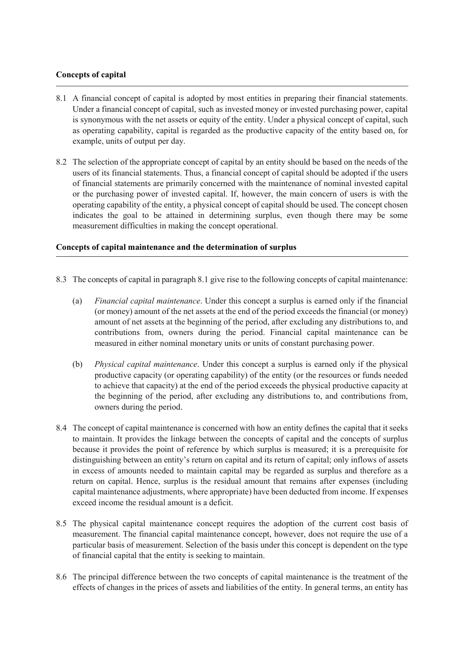# Concepts of capital

- 8.1 A financial concept of capital is adopted by most entities in preparing their financial statements. Under a financial concept of capital, such as invested money or invested purchasing power, capital is synonymous with the net assets or equity of the entity. Under a physical concept of capital, such as operating capability, capital is regarded as the productive capacity of the entity based on, for example, units of output per day.
- 8.2 The selection of the appropriate concept of capital by an entity should be based on the needs of the users of its financial statements. Thus, a financial concept of capital should be adopted if the users of financial statements are primarily concerned with the maintenance of nominal invested capital or the purchasing power of invested capital. If, however, the main concern of users is with the operating capability of the entity, a physical concept of capital should be used. The concept chosen indicates the goal to be attained in determining surplus, even though there may be some measurement difficulties in making the concept operational.

# Concepts of capital maintenance and the determination of surplus

- 8.3 The concepts of capital in paragraph 8.1 give rise to the following concepts of capital maintenance:
	- (a) Financial capital maintenance. Under this concept a surplus is earned only if the financial (or money) amount of the net assets at the end of the period exceeds the financial (or money) amount of net assets at the beginning of the period, after excluding any distributions to, and contributions from, owners during the period. Financial capital maintenance can be measured in either nominal monetary units or units of constant purchasing power.
	- (b) Physical capital maintenance. Under this concept a surplus is earned only if the physical productive capacity (or operating capability) of the entity (or the resources or funds needed to achieve that capacity) at the end of the period exceeds the physical productive capacity at the beginning of the period, after excluding any distributions to, and contributions from, owners during the period.
- 8.4 The concept of capital maintenance is concerned with how an entity defines the capital that it seeks to maintain. It provides the linkage between the concepts of capital and the concepts of surplus because it provides the point of reference by which surplus is measured; it is a prerequisite for distinguishing between an entity's return on capital and its return of capital; only inflows of assets in excess of amounts needed to maintain capital may be regarded as surplus and therefore as a return on capital. Hence, surplus is the residual amount that remains after expenses (including capital maintenance adjustments, where appropriate) have been deducted from income. If expenses exceed income the residual amount is a deficit.
- 8.5 The physical capital maintenance concept requires the adoption of the current cost basis of measurement. The financial capital maintenance concept, however, does not require the use of a particular basis of measurement. Selection of the basis under this concept is dependent on the type of financial capital that the entity is seeking to maintain.
- 8.6 The principal difference between the two concepts of capital maintenance is the treatment of the effects of changes in the prices of assets and liabilities of the entity. In general terms, an entity has